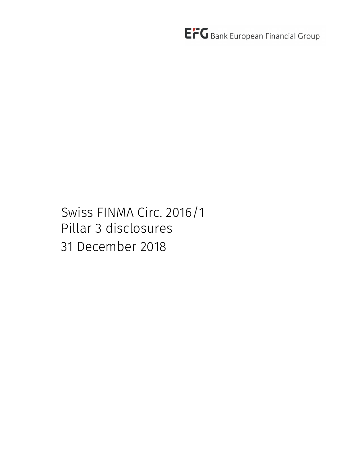Swiss FINMA Circ. 2016/1 Pillar 3 disclosures 31 December 2018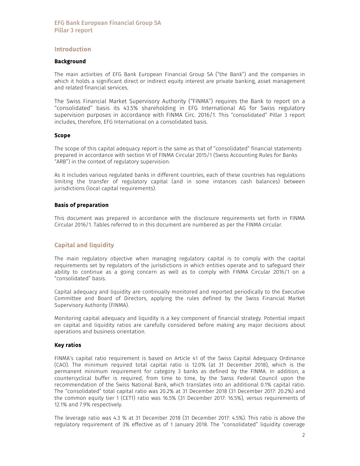## Introduction

#### Background

The main activities of EFG Bank European Financial Group SA ("the Bank") and the companies in which it holds a significant direct or indirect equity interest are private banking, asset management and related financial services.

The Swiss Financial Market Supervisory Authority (''FINMA'') requires the Bank to report on a ''consolidated'' basis its 43.5% shareholding in EFG International AG for Swiss regulatory supervision purposes in accordance with FINMA Circ. 2016/1. This "consolidated" Pillar 3 report includes, therefore, EFG International on a consolidated basis.

#### Scope

The scope of this capital adequacy report is the same as that of "consolidated" financial statements prepared in accordance with section VI of FINMA Circular 2015/1 (Swiss Accounting Rules for Banks "ARB") in the context of regulatory supervision.

As it includes various regulated banks in different countries, each of these countries has regulations limiting the transfer of regulatory capital (and in some instances cash balances) between jurisdictions (local capital requirements).

#### Basis of preparation

This document was prepared in accordance with the disclosure requirements set forth in FINMA Circular 2016/1. Tables referred to in this document are numbered as per the FINMA circular.

# Capital and liquidity

The main regulatory objective when managing regulatory capital is to comply with the capital requirements set by regulators of the jurisdictions in which entities operate and to safeguard their ability to continue as a going concern as well as to comply with FINMA Circular 2016/1 on a "consolidated" basis.

Capital adequacy and liquidity are continually monitored and reported periodically to the Executive Committee and Board of Directors, applying the rules defined by the Swiss Financial Market Supervisory Authority (FINMA).

Monitoring capital adequacy and liquidity is a key component of financial strategy. Potential impact on capital and liquidity ratios are carefully considered before making any major decisions about operations and business orientation.

#### Key ratios

FINMA's capital ratio requirement is based on Article 41 of the Swiss Capital Adequacy Ordinance (CAO). The minimum required total capital ratio is 12.0% (at 31 December 2018), which is the permanent minimum requirement for category 3 banks as defined by the FINMA. In addition, a countercyclical buffer is required, from time to time, by the Swiss Federal Council upon the recommendation of the Swiss National Bank, which translates into an additional 0.1% capital ratio. The "consolidated" total capital ratio was 20.2% at 31 December 2018 (31 December 2017: 20.2%) and the common equity tier 1 (CET1) ratio was 16.5% (31 December 2017: 16.5%), versus requirements of 12.1% and 7.9% respectively.

The leverage ratio was 4.3 % at 31 December 2018 (31 December 2017: 4.5%). This ratio is above the regulatory requirement of 3% effective as of 1 January 2018. The "consolidated" liquidity coverage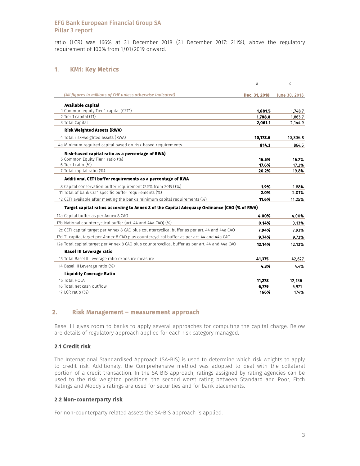ratio (LCR) was 166% at 31 December 2018 (31 December 2017: 211%), above the regulatory requirement of 100% from 1/01/2019 onward.

# 1. KM1: Key Metrics

|                                                                                                 | a             | C             |
|-------------------------------------------------------------------------------------------------|---------------|---------------|
| (All figures in millions of CHF unless otherwise indicated)                                     | Dec. 31, 2018 | June 30, 2018 |
| Available capital                                                                               |               |               |
| 1 Common equity Tier 1 capital (CET1)                                                           | 1,681.5       | 1,748.7       |
| 2 Tier 1 capital (T1)                                                                           | 1,788.8       | 1,863.7       |
| 3 Total Capital                                                                                 | 2,061.1       | 2,144.9       |
| <b>Risk Weighted Assets (RWA)</b>                                                               |               |               |
| 4 Total risk-weighted assets (RWA)                                                              | 10,178.6      | 10,806.8      |
| 4a Minimum required capital based on risk-based requirements                                    | 814.3         | 864.5         |
| Risk-based capital ratio as a percentage of RWA)                                                |               |               |
| 5 Common Equity Tier 1 ratio (%)                                                                | 16.5%         | 16.2%         |
| 6 Tier 1 ratio (%)                                                                              | 17.6%         | 17.2%         |
| 7 Total capital ratio (%)                                                                       | 20.2%         | 19.8%         |
| Additional CET1 buffer requirements as a percentage of RWA                                      |               |               |
| 8 Capital conservation buffer requirement (2.5% from 2019) (%)                                  | 1.9%          | 1.88%         |
| 11 Total of bank CET1 specific buffer requirements (%)                                          | 2.0%          | 2.01%         |
| 12 CET1 available after meeting the bank's minimum capital requirements (%)                     | 11.6%         | 11.25%        |
| Target capital ratios according to Annex 8 of the Capital Adequacy Ordinance (CAO (% of RWA)    |               |               |
| 12a Capital buffer as per Annex 8 CAO                                                           | 4.00%         | 4.00%         |
| 12b National countercyclical buffer (art. 44 and 44a CAO) (%)                                   | 0.14%         | 0.13%         |
| 12c CET1 capital target per Annex 8 CAO plus countercyclical buffer as per art. 44 and 44a CAO  | 7.94%         | 7.93%         |
| 12d T1 capital target per Annex 8 CAO plus countercyclical buffer as per art. 44 and 44a CAO    | 9.74%         | 9.73%         |
| 12e Total capital target per Annex 8 CAO plus countercyclical buffer as per art. 44 and 44a CAO | 12.14%        | 12.13%        |
| <b>Basel III Leverage ratio</b>                                                                 |               |               |
| 13 Total Basel III leverage ratio exposure measure                                              | 41.375        | 42,627        |
| 14 Basel III Leverage ratio (%)                                                                 | 4.3%          | 4.4%          |
| <b>Liquidity Coverage Ratio</b>                                                                 |               |               |
| 15 Total HOLA                                                                                   | 11,278        | 12,136        |
| 16 Total net cash outflow                                                                       | 6,779         | 6,971         |
| 17 LCR ratio (%)                                                                                | 166%          | 174%          |

# 2. Risk Management – measurement approach

Basel III gives room to banks to apply several approaches for computing the capital charge. Below are details of regulatory approach applied for each risk category managed.

# 2.1 Credit risk

The International Standardised Approach (SA-BIS) is used to determine which risk weights to apply to credit risk. Additionaly, the Comprehensive method was adopted to deal with the collateral portion of a credit transaction. In the SA-BIS approach, ratings assigned by rating agencies can be used to the risk weighted positions: the second worst rating between Standard and Poor, Fitch Ratings and Moody's ratings are used for securities and for bank placements.

# 2.2 Non-counterparty risk

For non-counterparty related assets the SA-BIS approach is applied.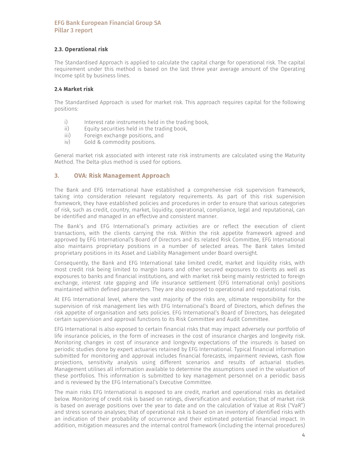# 2.3. Operational risk

The Standardised Approach is applied to calculate the capital charge for operational risk. The capital requirement under this method is based on the last three year average amount of the Operating Income split by business lines.

# 2.4 Market risk

The Standardised Approach is used for market risk. This approach requires capital for the following positions:

- i) Interest rate instruments held in the trading book,
- ii) Equity securities held in the trading book,<br>iii) Foreign exchange positions, and
- iii) Foreign exchange positions, and<br>iv) Gold & commodity positions.
- Gold & commodity positions.

General market risk associated with interest rate risk instruments are calculated using the Maturity Method. The Delta-plus method is used for options.

# 3. OVA: Risk Management Approach

The Bank and EFG International have established a comprehensive risk supervision framework, taking into consideration relevant regulatory requirements. As part of this risk supervision framework, they have established policies and procedures in order to ensure that various categories of risk, such as credit, country, market, liquidity, operational, compliance, legal and reputational, can be identified and managed in an effective and consistent manner.

The Bank's and EFG International's primary activities are or reflect the execution of client transactions, with the clients carrying the risk. Within the risk appetite framework agreed and approved by EFG International's Board of Directors and its related Risk Committee, EFG International also maintains proprietary positions in a number of selected areas. The Bank takes limited proprietary positions in its Asset and Liability Management under Board oversight.

Consequently, the Bank and EFG International take limited credit, market and liquidity risks, with most credit risk being limited to margin loans and other secured exposures to clients as well as exposures to banks and financial institutions, and with market risk being mainly restricted to foreign exchange, interest rate gapping and life insurance settlement (EFG International only) positions maintained within defined parameters. They are also exposed to operational and reputational risks.

At EFG International level, where the vast majority of the risks are, ultimate responsibility for the supervision of risk management lies with EFG International's Board of Directors, which defines the risk appetite of organisation and sets policies. EFG International's Board of Directors, has delegated certain supervision and approval functions to its Risk Committee and Audit Committee.

EFG International is also exposed to certain financial risks that may impact adversely our portfolio of life insurance policies, in the form of increases in the cost of insurance charges and longevity risk. Monitoring changes in cost of insurance and longevity expectations of the insureds is based on periodic studies done by expert actuaries retained by EFG International. Typical financial information submitted for monitoring and approval includes financial forecasts, impairment reviews, cash flow projections, sensitivity analysis using different scenarios and results of actuarial studies. Management utilises all information available to determine the assumptions used in the valuation of these portfolios. This information is submitted to key management personnel on a periodic basis and is reviewed by the EFG International's Executive Committee.

The main risks EFG International is exposed to are credit, market and operational risks as detailed below. Monitoring of credit risk is based on ratings, diversification and evolution; that of market risk is based on average positions over the year to date and on the calculation of Value at Risk ("VaR") and stress scenario analyses; that of operational risk is based on an inventory of identified risks with an indication of their probability of occurrence and their estimated potential financial impact. In addition, mitigation measures and the internal control framework (including the internal procedures)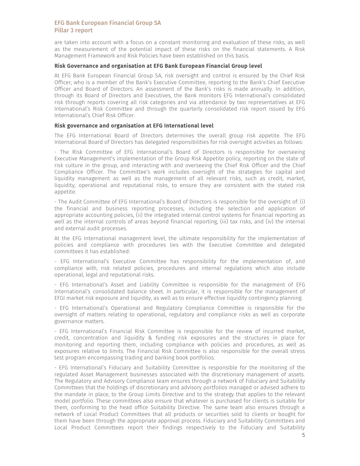are taken into account with a focus on a constant monitoring and evaluation of these risks, as well as the measurement of the potential impact of these risks on the financial statements. A Risk Management Framework and Risk Policies have been established on this basis.

#### Risk Governance and organisation at EFG Bank European Financial Group level

At EFG Bank European Financial Group SA, risk oversight and control is ensured by the Chief Risk Officer, who is a member of the Bank's Executive Committee, reporting to the Bank's Chief Executive Officer and Board of Directors. An assessment of the Bank's risks is made annually. In addition, through its Board of Directors and Executives, the Bank monitors EFG International's consolidated risk through reports covering all risk categories and via attendance by two representatives at EFG International's Risk Committee and through the quarterly consolidated risk report issued by EFG International's Chief Risk Officer.

#### Risk governance and organisation at EFG International level

The EFG International Board of Directors determines the overall group risk appetite. The EFG International Board of Directors has delegated responsibilities for risk oversight activities as follows:

- The Risk Committee of EFG International's Board of Directors is responsible for overseeing Executive Management's implementation of the Group Risk Appetite policy, reporting on the state of risk culture in the group, and interacting with and overseeing the Chief Risk Officer and the Chief Compliance Officer. The Committee's work includes oversight of the strategies for capital and liquidity management as well as the management of all relevant risks, such as credit, market, liquidity, operational and reputational risks, to ensure they are consistent with the stated risk appetite.

- The Audit Committee of EFG International's Board of Directors is responsible for the oversight of: (i) the financial and business reporting processes, including the selection and application of appropriate accounting policies, (ii) the integrated internal control systems for financial reporting as well as the internal controls of areas beyond financial reporting, (iii) tax risks, and (iv) the internal and external audit processes.

At the EFG International management level, the ultimate responsibility for the implementation of policies and compliance with procedures lies with the Executive Committee and delegated committees it has established:

- EFG International's Executive Committee has responsibility for the implementation of, and compliance with, risk related policies, procedures and internal regulations which also include operational, legal and reputational risks.

- EFG International's Asset and Liability Committee is responsible for the management of EFG International's consolidated balance sheet. In particular, it is responsible for the management of EFGI market risk exposure and liquidity, as well as to ensure effective liquidity contingency planning.

- EFG International's Operational and Regulatory Compliance Committee is responsible for the oversight of matters relating to operational, regulatory and compliance risks as well as corporate governance matters.

- EFG International's Financial Risk Committee is responsible for the review of incurred market, credit, concentration and liquidity & funding risk exposures and the structures in place for monitoring and reporting them, including compliance with policies and procedures, as well as exposures relative to limits. The Financial Risk Committee is also responsible for the overall stress test program encompassing trading and banking book portfolios.

- EFG International's Fiduciary and Suitability Committee is responsible for the monitoring of the regulated Asset Management businesses associated with the discretionary management of assets. The Regulatory and Advisory Compliance team ensures through a network of Fiduciary and Suitability Committees that the holdings of discretionary and advisory portfolios managed or advised adhere to the mandate in place, to the Group Limits Directive and to the strategy that applies to the relevant model portfolio. These committees also ensure that whatever is purchased for clients is suitable for them, conforming to the head office Suitability Directive. The same team also ensures through a network of Local Product Committees that all products or securities sold to clients or bought for them have been through the appropriate approval process. Fiduciary and Suitability Committees and Local Product Committees report their findings respectively to the Fiduciary and Suitability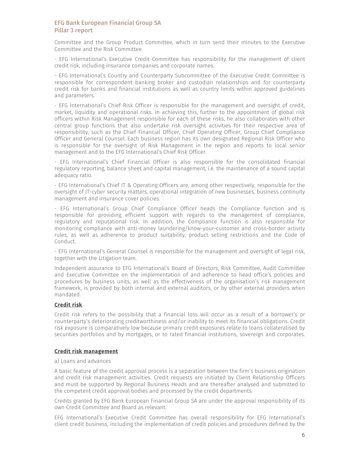Committee and the Group Product Committee, which in turn send their minutes to the Executive Committee and the Risk Committee.

- EFG International's Executive Credit Committee has responsibility for the management of client credit risk, including insurance companies and corporate names.

- EFG International's Country and Counterparty Subcommittee of the Executive Credit Committee is responsible for correspondent banking broker and custodian relationships and for counterparty credit risk for banks and financial institutions as well as country limits within approved guidelines and parameters.

- EFG International's Chief Risk Officer is responsible for the management and oversight of credit, market, liquidity and operational risks. In achieving this, further to the appointment of global risk officers within Risk Management responsible for each of these risks, he also collaborates with other central group functions that also undertake risk oversight activities for their respective area of responsibility, such as the Chief Financial Officer, Chief Operating Officer, Group Chief Compliance Officer and General Counsel. Each business region has its own designated Regional Risk Officer who is responsible for the oversight of Risk Management in the region and reports to local senior management and to the EFG International's Chief Risk Officer.

- EFG International's Chief Financial Officer is also responsible for the consolidated financial regulatory reporting, balance sheet and capital management, i.e. the maintenance of a sound capital adequacy ratio.

- EFG International's Chief IT & Operating Officers are, among other respectively, responsible for the oversight of IT-cyber security matters, operational integration of new businesses, business continuity management and insurance cover policies.

- EFG International's Group Chief Compliance Officer heads the Compliance function and is responsible for providing efficient support with regards to the management of compliance, regulatory and reputational risk. In addition, the Compliance function is also responsible for monitoring compliance with anti-money laundering/know-your-customer and cross-border activity rules, as well as adherence to product suitability, product selling restrictions and the Code of Conduct.

- EFG International's General Counsel is responsible for the management and oversight of legal risk, together with the Litigation team.

Independent assurance to EFG International's Board of Directors, Risk Committee, Audit Committee and Executive Committee on the implementation of and adherence to head office's policies and procedures by business units, as well as the effectiveness of the organisation's risk management framework, is provided by both internal and external auditors, or by other external providers when mandated.

### Credit risk

Credit risk refers to the possibility that a financial loss will occur as a result of a borrower's or counterparty's deteriorating creditworthiness and/or inability to meet its financial obligations. Credit risk exposure is comparatively low because primary credit exposures relate to loans collateralised by securities portfolios and by mortgages, or to rated financial institutions, sovereign and corporates.

### Credit risk management

#### a) Loans and advances

A basic feature of the credit approval process is a separation between the firm's business origination and credit risk management activities. Credit requests are initiated by Client Relationship Officers and must be supported by Regional Business Heads and are thereafter analysed and submitted to the competent credit approval bodies and processed by the credit departments.

Credits granted by EFG Bank European Financial Group SA are under the approval responsibility of its own Credit Committee and Board as relevant.

EFG International's Executive Credit Committee has overall responsibility for EFG International's client credit business, including the implementation of credit policies and procedures defined by the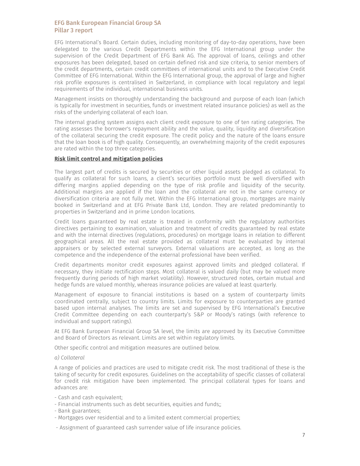EFG International's Board. Certain duties, including monitoring of day-to-day operations, have been delegated to the various Credit Departments within the EFG International group under the supervision of the Credit Department of EFG Bank AG. The approval of loans, ceilings and other exposures has been delegated, based on certain defined risk and size criteria, to senior members of the credit departments, certain credit committees of international units and to the Executive Credit Committee of EFG International. Within the EFG International group, the approval of large and higher risk profile exposures is centralised in Switzerland, in compliance with local regulatory and legal requirements of the individual, international business units.

Management insists on thoroughly understanding the background and purpose of each loan (which is typically for investment in securities, funds or investment related insurance policies) as well as the risks of the underlying collateral of each loan.

The internal grading system assigns each client credit exposure to one of ten rating categories. The rating assesses the borrower's repayment ability and the value, quality, liquidity and diversification of the collateral securing the credit exposure. The credit policy and the nature of the loans ensure that the loan book is of high quality. Consequently, an overwhelming majority of the credit exposures are rated within the top three categories.

#### Risk limit control and mitigation policies

The largest part of credits is secured by securities or other liquid assets pledged as collateral. To qualify as collateral for such loans, a client's securities portfolio must be well diversified with differing margins applied depending on the type of risk profile and liquidity of the security. Additional margins are applied if the loan and the collateral are not in the same currency or diversification criteria are not fully met. Within the EFG International group, mortgages are mainly booked in Switzerland and at EFG Private Bank Ltd, London. They are related predominantly to properties in Switzerland and in prime London locations.

Credit loans guaranteed by real estate is treated in conformity with the regulatory authorities directives pertaining to examination, valuation and treatment of credits guaranteed by real estate and with the internal directives (regulations, procedures) on mortgage loans in relation to different geographical areas. All the real estate provided as collateral must be evaluated by internal appraisers or by selected external surveyors. External valuations are accepted, as long as the competence and the independence of the external professional have been verified.

Credit departments monitor credit exposures against approved limits and pledged collateral. If necessary, they initiate rectification steps. Most collateral is valued daily (but may be valued more frequently during periods of high market volatility). However, structured notes, certain mutual and hedge funds are valued monthly, whereas insurance policies are valued at least quarterly.

Management of exposure to financial institutions is based on a system of counterparty limits coordinated centrally, subject to country limits. Limits for exposure to counterparties are granted based upon internal analyses. The limits are set and supervised by EFG International's Executive Credit Committee depending on each counterparty's S&P or Moody's ratings (with reference to individual and support ratings).

At EFG Bank European Financial Group SA level, the limits are approved by its Executive Committee and Board of Directors as relevant. Limits are set within regulatory limits.

Other specific control and mitigation measures are outlined below.

#### *a) Collateral*

A range of policies and practices are used to mitigate credit risk. The most traditional of these is the taking of security for credit exposures. Guidelines on the acceptability of specific classes of collateral for credit risk mitigation have been implemented. The principal collateral types for loans and advances are:

- Cash and cash equivalent;
- Financial instruments such as debt securities, equities and funds;;
- Bank guarantees;
- Mortgages over residential and to a limited extent commercial properties;
- Assignment of guaranteed cash surrender value of life insurance policies.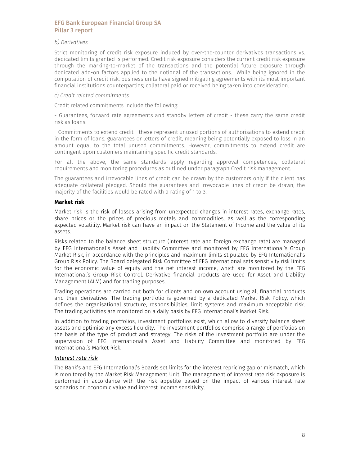#### *b) Derivatives*

Strict monitoring of credit risk exposure induced by over-the-counter derivatives transactions vs. dedicated limits granted is performed. Credit risk exposure considers the current credit risk exposure through the marking-to-market of the transactions and the potential future exposure through dedicated add-on factors applied to the notional of the transactions. While being ignored in the computation of credit risk, business units have signed mitigating agreements with its most important financial institutions counterparties; collateral paid or received being taken into consideration.

#### *c) Credit related commitments*

Credit related commitments include the following:

- Guarantees, forward rate agreements and standby letters of credit - these carry the same credit risk as loans.

- Commitments to extend credit - these represent unused portions of authorisations to extend credit in the form of loans, guarantees or letters of credit, meaning being potentially exposed to loss in an amount equal to the total unused commitments. However, commitments to extend credit are contingent upon customers maintaining specific credit standards.

For all the above, the same standards apply regarding approval competences, collateral requirements and monitoring procedures as outlined under paragraph Credit risk management.

The guarantees and irrevocable lines of credit can be drawn by the customers only if the client has adequate collateral pledged. Should the guarantees and irrevocable lines of credit be drawn, the majority of the facilities would be rated with a rating of 1 to 3.

### Market risk

Market risk is the risk of losses arising from unexpected changes in interest rates, exchange rates, share prices or the prices of precious metals and commodities, as well as the corresponding expected volatility. Market risk can have an impact on the Statement of Income and the value of its assets.

Risks related to the balance sheet structure (interest rate and foreign exchange rate) are managed by EFG International's Asset and Liability Committee and monitored by EFG International's Group Market Risk, in accordance with the principles and maximum limits stipulated by EFG International's Group Risk Policy. The Board delegated Risk Committee of EFG International sets sensitivity risk limits for the economic value of equity and the net interest income, which are monitored by the EFG International's Group Risk Control. Derivative financial products are used for Asset and Liability Management (ALM) and for trading purposes.

Trading operations are carried out both for clients and on own account using all financial products and their derivatives. The trading portfolio is governed by a dedicated Market Risk Policy, which defines the organisational structure, responsibilities, limit systems and maximum acceptable risk. The trading activities are monitored on a daily basis by EFG International's Market Risk.

In addition to trading portfolios, investment portfolios exist, which allow to diversify balance sheet assets and optimise any excess liquidity. The investment portfolios comprise a range of portfolios on the basis of the type of product and strategy. The risks of the investment portfolio are under the supervision of EFG International's Asset and Liability Committee and monitored by EFG International's Market Risk.

# *Interest rate risk*

The Bank's and EFG International's Boards set limits for the interest repricing gap or mismatch, which is monitored by the Market Risk Management Unit. The management of interest rate risk exposure is performed in accordance with the risk appetite based on the impact of various interest rate scenarios on economic value and interest income sensitivity.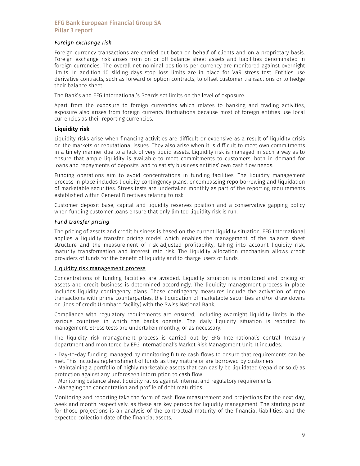### *Foreign exchange risk*

Foreign currency transactions are carried out both on behalf of clients and on a proprietary basis. Foreign exchange risk arises from on or off-balance sheet assets and liabilities denominated in foreign currencies. The overall net nominal positions per currency are monitored against overnight limits. In addition 10 sliding days stop loss limits are in place for VaR stress test. Entities use derivative contracts, such as forward or option contracts, to offset customer transactions or to hedge their balance sheet.

The Bank's and EFG International's Boards set limits on the level of exposure.

Apart from the exposure to foreign currencies which relates to banking and trading activities, exposure also arises from foreign currency fluctuations because most of foreign entities use local currencies as their reporting currencies.

### Liquidity risk

Liquidity risks arise when financing activities are difficult or expensive as a result of liquidity crisis on the markets or reputational issues. They also arise when it is difficult to meet own commitments in a timely manner due to a lack of very liquid assets. Liquidity risk is managed in such a way as to ensure that ample liquidity is available to meet commitments to customers, both in demand for loans and repayments of deposits, and to satisfy business entities' own cash flow needs.

Funding operations aim to avoid concentrations in funding facilities. The liquidity management process in place includes liquidity contingency plans, encompassing repo borrowing and liquidation of marketable securities. Stress tests are undertaken monthly as part of the reporting requirements established within General Directives relating to risk.

Customer deposit base, capital and liquidity reserves position and a conservative gapping policy when funding customer loans ensure that only limited liquidity risk is run.

### *Fund transfer pricing*

The pricing of assets and credit business is based on the current liquidity situation. EFG International applies a liquidity transfer pricing model which enables the management of the balance sheet structure and the measurement of risk-adjusted profitability, taking into account liquidity risk, maturity transformation and interest rate risk. The liquidity allocation mechanism allows credit providers of funds for the benefit of liquidity and to charge users of funds.

#### Liquidity risk management process

Concentrations of funding facilities are avoided. Liquidity situation is monitored and pricing of assets and credit business is determined accordingly. The liquidity management process in place includes liquidity contingency plans. These contingency measures include the activation of repo transactions with prime counterparties, the liquidation of marketable securities and/or draw downs on lines of credit (Lombard facility) with the Swiss National Bank.

Compliance with regulatory requirements are ensured, including overnight liquidity limits in the various countries in which the banks operate. The daily liquidity situation is reported to management. Stress tests are undertaken monthly, or as necessary.

The liquidity risk management process is carried out by EFG International's central Treasury department and monitored by EFG International's Market Risk Management Unit. It includes:

- Day-to-day funding, managed by monitoring future cash flows to ensure that requirements can be met. This includes replenishment of funds as they mature or are borrowed by customers

- Maintaining a portfolio of highly marketable assets that can easily be liquidated (repaid or sold) as protection against any unforeseen interruption to cash flow

- Monitoring balance sheet liquidity ratios against internal and regulatory requirements

- Managing the concentration and profile of debt maturities.

Monitoring and reporting take the form of cash flow measurement and projections for the next day, week and month respectively, as these are key periods for liquidity management. The starting point for those projections is an analysis of the contractual maturity of the financial liabilities, and the expected collection date of the financial assets.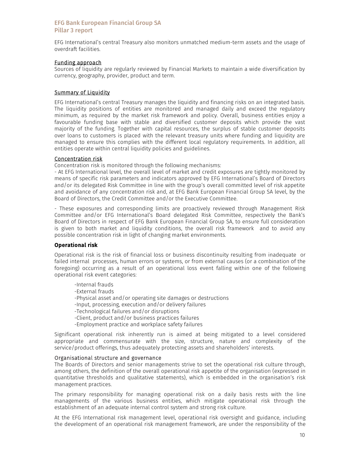EFG International's central Treasury also monitors unmatched medium-term assets and the usage of overdraft facilities.

### Funding approach

Sources of liquidity are regularly reviewed by Financial Markets to maintain a wide diversification by currency, geography, provider, product and term.

### Summary of Liquidity

EFG International's central Treasury manages the liquidity and financing risks on an integrated basis. The liquidity positions of entities are monitored and managed daily and exceed the regulatory minimum, as required by the market risk framework and policy. Overall, business entities enjoy a favourable funding base with stable and diversified customer deposits which provide the vast majority of the funding. Together with capital resources, the surplus of stable customer deposits over loans to customers is placed with the relevant treasury units where funding and liquidity are managed to ensure this complies with the different local regulatory requirements. In addition, all entities operate within central liquidity policies and guidelines.

### Concentration risk

Concentration risk is monitored through the following mechanisms:

- At EFG International level, the overall level of market and credit exposures are tightly monitored by means of specific risk parameters and indicators approved by EFG International's Board of Directors and/or its delegated Risk Committee in line with the group's overall committed level of risk appetite and avoidance of any concentration risk and, at EFG Bank European Financial Group SA level, by the Board of Directors, the Credit Committee and/or the Executive Committee.

- These exposures and corresponding limits are proactively reviewed through Management Risk Committee and/or EFG International's Board delegated Risk Committee, respectively the Bank's Board of Directors in respect of EFG Bank European Financial Group SA, to ensure full consideration is given to both market and liquidity conditions, the overall risk framework and to avoid any possible concentration risk in light of changing market environments.

#### Operational risk

Operational risk is the risk of financial loss or business discontinuity resulting from inadequate or failed internal processes, human errors or systems, or from external causes (or a combination of the foregoing) occurring as a result of an operational loss event falling within one of the following operational risk event categories:

-Internal frauds -External frauds -Physical asset and/or operating site damages or destructions -Input, processing, execution and/or delivery failures -Technological failures and/or disruptions -Client, product and/or business practices failures -Employment practice and workplace safety failures

Significant operational risk inherently run is aimed at being mitigated to a level considered appropriate and commensurate with the size, structure, nature and complexity of the service/product offerings, thus adequately protecting assets and shareholders' interests.

#### Organisational structure and governance

The Boards of Directors and senior managements strive to set the operational risk culture through, among others, the definition of the overall operational risk appetite of the organisation (expressed in quantitative thresholds and qualitative statements), which is embedded in the organisation's risk management practices.

The primary responsibility for managing operational risk on a daily basis rests with the line managements of the various business entities, which mitigate operational risk through the establishment of an adequate internal control system and strong risk culture.

At the EFG International risk management level, operational risk oversight and guidance, including the development of an operational risk management framework, are under the responsibility of the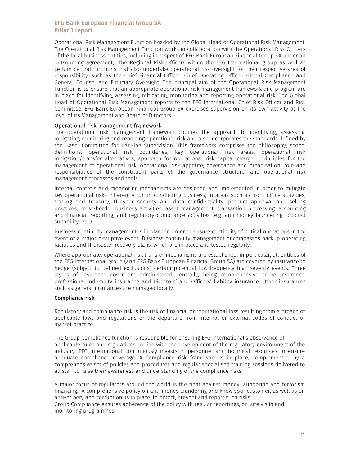Operational Risk Management Function headed by the Global Head of Operational Risk Management. The Operational Risk Management Function works in collaboration with the Operational Risk Officers of the local business entities, including in respect of EFG Bank European Financial Group SA under an outsourcing agreement, the Regional Risk Officers within the EFG International group as well as certain central functions that also undertake operational risk oversight for their respective area of responsibility, such as the Chief Financial Officer, Chief Operating Officer, Global Compliance and General Counsel and Fiduciary Oversight. The principal aim of the Operational Risk Management Function is to ensure that an appropriate operational risk management framework and program are in place for identifying, assessing, mitigating, monitoring and reporting operational risk. The Global Head of Operational Risk Management reports to the EFG International Chief Risk Officer and Risk Committee. EFG Bank European Financial Group SA exercises supervision on its own activity at the level of its Management and Board of Directors.

#### Operational risk management framework

The operational risk management framework codifies the approach to identifying, assessing, mitigating, monitoring and reporting operational risk and also incorporates the standards defined by the Basel Committee for Banking Supervision. This framework comprises the philosophy, scope, definitions, operational risk boundaries, key operational risk areas, operational risk mitigation/transfer alternatives, approach for operational risk capital charge, principles for the management of operational risk, operational risk appetite, governance and organisation, role and responsibilities of the constituent parts of the governance structure, and operational risk management processes and tools.

Internal controls and monitoring mechanisms are designed and implemented in order to mitigate key operational risks inherently run in conducting business, in areas such as front-office activities, trading and treasury, IT-cyber security and data confidentiality, product approval and selling practices, cross-border business activities, asset management, transaction processing, accounting and financial reporting, and regulatory compliance activities (e.g. anti-money laundering, product suitability, etc.).

Business continuity management is in place in order to ensure continuity of critical operations in the event of a major disruptive event. Business continuity management encompasses backup operating facilities and IT disaster recovery plans, which are in place and tested regularly.

Where appropriate, operational risk transfer mechanisms are established; in particular, all entities of the EFG International group (and EFG Bank European Financial Group SA) are covered by insurance to hedge (subject to defined exclusions) certain potential low-frequency high-severity events. Three layers of insurance cover are administered centrally, being comprehensive crime insurance, professional indemnity insurance and Directors' and Officers' liability insurance. Other insurances such as general insurances are managed locally.

#### Compliance risk

Regulatory and compliance risk is the risk of financial or reputational loss resulting from a breach of applicable laws and regulations or the departure from internal or external codes of conduct or market practice.

The Group Compliance function is responsible for ensuring EFG International's observance of applicable rules and regulations. In line with the development of the regulatory environment of the industry, EFG International continuously invests in personnel and technical resources to ensure adequate compliance coverage. A Compliance risk framework is in place, complemented by a comprehensive set of policies and procedures and regular specialised training sessions delivered to all staff to raise their awareness and understanding of the compliance risks.

A major focus of regulators around the world is the fight against money laundering and terrorism financing. A comprehensive policy on anti-money laundering and know your customer, as well as on anti-bribery and corruption, is in place, to detect, prevent and report such risks. Group Compliance ensures adherence of the policy with regular reportings, on-site visits and monitoring programmes.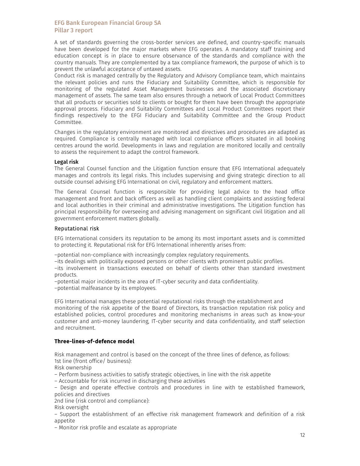A set of standards governing the cross-border services are defined, and country-specific manuals have been developed for the major markets where EFG operates. A mandatory staff training and education concept is in place to ensure observance of the standards and compliance with the country manuals. They are complemented by a tax compliance framework, the purpose of which is to prevent the unlawful acceptance of untaxed assets.

Conduct risk is managed centrally by the Regulatory and Advisory Compliance team, which maintains the relevant policies and runs the Fiduciary and Suitability Committee, which is responsible for monitoring of the regulated Asset Management businesses and the associated discretionary management of assets. The same team also ensures through a network of Local Product Committees that all products or securities sold to clients or bought for them have been through the appropriate approval process. Fiduciary and Suitability Committees and Local Product Committees report their findings respectively to the EFGI Fiduciary and Suitability Committee and the Group Product Committee.

Changes in the regulatory environment are monitored and directives and procedures are adapted as required. Compliance is centrally managed with local compliance officers situated in all booking centres around the world. Developments in laws and regulation are monitored locally and centrally to assess the requirement to adapt the control framework.

#### Legal risk

The General Counsel function and the Litigation function ensure that EFG International adequately manages and controls its legal risks. This includes supervising and giving strategic direction to all outside counsel advising EFG International on civil, regulatory and enforcement matters.

The General Counsel function is responsible for providing legal advice to the head office management and front and back officers as well as handling client complaints and assisting federal and local authorities in their criminal and administrative investigations. The Litigation function has principal responsibility for overseeing and advising management on significant civil litigation and all government enforcement matters globally.

#### Reputational risk

EFG International considers its reputation to be among its most important assets and is committed to protecting it. Reputational risk for EFG International inherently arises from:

–potential non-compliance with increasingly complex regulatory requirements.

–its dealings with politically exposed persons or other clients with prominent public profiles.

–its involvement in transactions executed on behalf of clients other than standard investment products.

–potential major incidents in the area of IT-cyber security and data confidentiality.

–potential malfeasance by its employees.

EFG International manages these potential reputational risks through the establishment and monitoring of the risk appetite of the Board of Directors, its transaction reputation risk policy and established policies, control procedures and monitoring mechanisms in areas such as know-your customer and anti-money laundering, IT-cyber security and data confidentiality, and staff selection and recruitment.

#### Three-lines-of-defence model

Risk management and control is based on the concept of the three lines of defence, as follows: 1st line (front office/ business):

Risk ownership

– Perform business activities to satisfy strategic objectives, in line with the risk appetite

– Accountable for risk incurred in discharging these activities

– Design and operate effective controls and procedures in line with te established framework, policies and directives

2nd line (risk control and compliance):

Risk oversight

– Support the establishment of an effective risk management framework and definition of a risk appetite

– Monitor risk profile and escalate as appropriate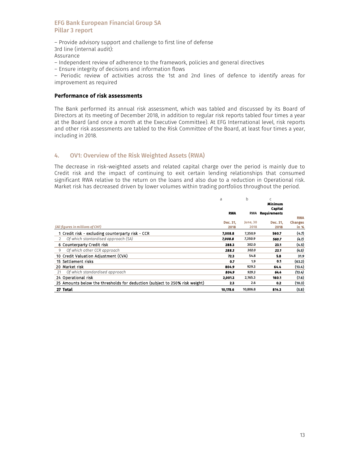– Provide advisory support and challenge to first line of defense 3rd line (internal audit): Assurance – Independent review of adherence to the framework, policies and general directives

– Ensure integrity of decisions and information flows

– Periodic review of activities across the 1st and 2nd lines of defence to identify areas for improvement as required

# Performance of risk assessments

The Bank performed its annual risk assessment, which was tabled and discussed by its Board of Directors at its meeting of December 2018, in addition to regular risk reports tabled four times a year at the Board (and once a month at the Executive Committee). At EFG International level, risk reports and other risk assessments are tabled to the Risk Committee of the Board, at least four times a year, including in 2018.

# 4. OV1: Overview of the Risk Weighted Assets (RWA)

The decrease in risk-weighted assets and related capital charge over the period is mainly due to Credit risk and the impact of continuing to exit certain lending relationships that consumed significant RWA relative to the return on the loans and also due to a reduction in Operational risk. Market risk has decreased driven by lower volumes within trading portfolios throughout the period.

|                                                                             | a                | b                | Ċ<br>Minimum<br>Capital |                          |
|-----------------------------------------------------------------------------|------------------|------------------|-------------------------|--------------------------|
|                                                                             | <b>RWA</b>       | <b>RWA</b>       | <b>Requirements</b>     |                          |
|                                                                             |                  |                  |                         | <b>RWA</b>               |
| (All figures in millions of CHF)                                            | Dec. 31.<br>2018 | June, 30<br>2018 | Dec. 31.<br>2018        | <b>Changes</b><br>in $%$ |
| 1 Credit risk - excluding counterparty risk - CCR                           | 7,008.8          | 7,350.9          | 560.7                   | (4.7)                    |
| Of which stantardised approach (SA)<br>$\mathcal{L}$                        | 7,008.8          | 7,350.9          | 560.7                   | (4.7)                    |
| 6 Counterparty Credit risk                                                  | 288.3            | 302.0            | 23.1                    | (4.5)                    |
| Of which other CCR approach<br>9                                            | 288.3            | 302.0            | 23.1                    | (4.5)                    |
| 10 Credit Valuation Adjustment (CVA)                                        | 72.3             | 54.8             | 5.8                     | 31.9                     |
| 15 Settlement risks                                                         | 0.7              | 1.9              | 0.1                     | (63.2)                   |
| 20 Market risk                                                              | 804.9            | 929.3            | 64.4                    | (13.4)                   |
| Of which standardised approach<br>21                                        | 804.9            | 929.3            | 64.4                    | (13.4)                   |
| 24 Operational risk                                                         | 2,001.3          | 2,165.3          | 160.1                   | (7.6)                    |
| 25 Amounts below the thresholds for deduction (subject to 250% risk weight) | 2.3              | 2.6              | 0.2                     | (10.3)                   |
| 27 Total                                                                    | 10,178.6         | 10,806.8         | 814.3                   | (5.8)                    |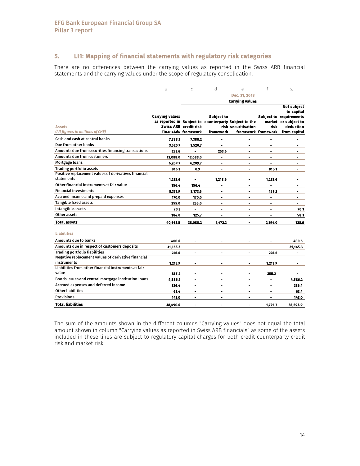# 5. LI1: Mapping of financial statements with regulatory risk categories

 There are no differences between the carrying values as reported in the Swiss ARB financial statements and the carrying values under the scope of regulatory consolidation.

|                                                      | a                      | $\mathsf{C}$          | d              | e                                                                            | f              | g                                 |
|------------------------------------------------------|------------------------|-----------------------|----------------|------------------------------------------------------------------------------|----------------|-----------------------------------|
|                                                      |                        |                       |                | Dec. 31, 2018                                                                |                |                                   |
|                                                      |                        |                       |                | <b>Carrying values</b>                                                       |                |                                   |
|                                                      |                        |                       |                |                                                                              |                | <b>Not subject</b>                |
|                                                      |                        |                       |                |                                                                              |                | to capital                        |
|                                                      | <b>Carrying values</b> |                       | Subject to     |                                                                              |                | <b>Subject to requirements</b>    |
|                                                      |                        | Swiss ARB credit risk |                | as reported in Subject to counterparty Subject to the<br>risk securitisation | risk           | market or subject to<br>deduction |
| <b>Assets</b><br>(All figures in millions of CHF)    |                        | financials framework  | framework      |                                                                              |                | framework framework from capital  |
| Cash and cash at central banks                       | 7,388.2                | 7,388.2               |                |                                                                              |                |                                   |
| Due from other banks                                 | 3,520.7                | 3,520.7               |                |                                                                              |                |                                   |
| Amounts due from securities financing transactions   |                        |                       |                |                                                                              |                |                                   |
| <b>Amounts due from customers</b>                    | 253.6                  |                       | 253.6          |                                                                              |                |                                   |
|                                                      | 12,088.0               | 12,088.0              |                |                                                                              |                |                                   |
| Mortgage loans                                       | 6,209.7                | 6,209.7               |                |                                                                              |                |                                   |
| <b>Trading portfolio assets</b>                      | 816.1                  | 0.9                   |                |                                                                              | 816.1          |                                   |
| Positive replacement values of derivatives financial |                        |                       |                |                                                                              |                |                                   |
| statements                                           | 1,218.6                | ۰                     | 1,218.6        |                                                                              | 1,218.6        |                                   |
| Other financial instruments at fair value            | 156.4                  | 156.4                 |                | ۰                                                                            |                | ٠                                 |
| <b>Financial investments</b>                         | 8,332.9                | 8,173.6               | $\blacksquare$ | $\blacksquare$                                                               | 159.3          | $\blacksquare$                    |
| Accrued income and prepaid expenses                  | 170.0                  | 170.0                 | ۰              | ۰                                                                            | $\blacksquare$ | ۰                                 |
| <b>Tangible fixed assets</b>                         | 255.0                  | 255.0                 | ä,             | ۰                                                                            | $\blacksquare$ | ۰.                                |
| Intangible assets                                    | 70.3                   | ä,                    | ÷.             | $\overline{a}$                                                               | $\blacksquare$ | 70.3                              |
| Other assets                                         | 184.0                  | 125.7                 | ä,             | ٠                                                                            | ٠              | 58.3                              |
| <b>Total assets</b>                                  | 40,663.5               | 38,088.2              | 1,472.2        | $\blacksquare$                                                               | 2.194.0        | 128.6                             |
|                                                      |                        |                       |                |                                                                              |                |                                   |
| <b>Liabilities</b>                                   |                        |                       |                |                                                                              |                |                                   |
| Amounts due to banks                                 | 400.6                  | ۰                     |                |                                                                              |                | 400.6                             |
| Amounts due in respect of customers deposits         | 31,165.3               | ٠                     |                | ۰                                                                            | ٠              | 31,165.3                          |
| <b>Trading portfolio liabilities</b>                 | 226.6                  | ۰                     |                | ۰                                                                            | 226.6          | ۰                                 |
| Negative replacement values of derivative financial  |                        |                       |                |                                                                              |                |                                   |
| instruments                                          | 1.213.9                |                       |                | $\blacksquare$                                                               | 1.213.9        |                                   |
| Liabilities from other financial instruments at fair |                        |                       |                |                                                                              |                |                                   |
| value                                                | 355.2                  | ÷                     |                | ۰                                                                            | 355.2          |                                   |
| Bonds issues and central mortgage institution loans  | 4,586.2                | ٠                     | ۰              | ٠                                                                            | $\blacksquare$ | 4,586.2                           |
| Accrued expenses and deferred income                 | 336.4                  | ٠                     | ä,             | ٠                                                                            | $\blacksquare$ | 336.4                             |
| Other liabilities                                    | 63.4                   | ٠                     | $\blacksquare$ | ÷                                                                            | $\blacksquare$ | 63.4                              |
| <b>Provisions</b>                                    | 143.0                  |                       | ä,             | ٠                                                                            | ٠              | 143.0                             |
| <b>Total liabilities</b>                             | 38,490.6               | $\blacksquare$        |                | $\blacksquare$                                                               | 1,795.7        | 36,694.9                          |

The sum of the amounts shown in the different columns "Carrying values" does not equal the total amount shown in column "Carrying values as reported in Swiss ARB financials" as some of the assets included in these lines are subject to regulatory capital charges for both credit counterparty credit risk and market risk.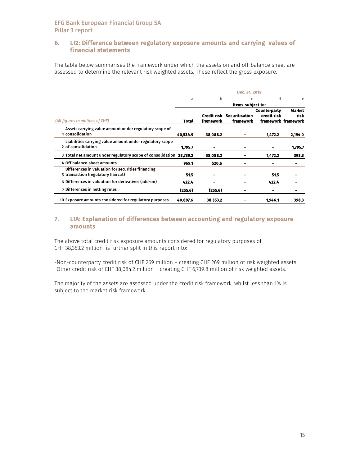# 6. LI2: Difference between regulatory exposure amounts and carrying values of financial statements

The table below summarises the framework under which the assets on and off-balance sheet are assessed to determine the relevant risk weighted assets. These reflect the gross exposure.

|                                                                                         |          |                | Dec. 31, 2018                           |                             |                                       |
|-----------------------------------------------------------------------------------------|----------|----------------|-----------------------------------------|-----------------------------|---------------------------------------|
|                                                                                         | a        | b              | C                                       | d                           | e                                     |
|                                                                                         |          |                | Items subject to:                       |                             |                                       |
| (All figures in millions of CHF)                                                        | Total    | framework      | Credit risk Securitisation<br>framework | Counterparty<br>credit risk | Market<br>risk<br>framework framework |
| Assets carrying value amount under regulatory scope of<br>1 consolidation               | 40,534.9 | 38,088.2       |                                         | 1,472.2                     | 2,194.0                               |
| Liabilities carrying value amount under regulatory scope<br>2 of consolidation          | 1,795.7  | ۰              |                                         |                             | 1.795.7                               |
| 3 Total net amount under regulatory scope of consolidation                              | 38.739.2 | 38,088.2       |                                         | 1,472.2                     | 398.3                                 |
| 4 Off balance-sheet amounts                                                             | 969.1    | 520.6          |                                         |                             |                                       |
| Differences in valuation for securities financing<br>5 transaction (regulatory haircut) | 51.5     | $\blacksquare$ |                                         | 51.5                        |                                       |
| 6 Differences in valuation for derivatives (add-on)                                     | 422.4    |                |                                         | 422.4                       |                                       |
| 7 Differences in netting rules                                                          | (255.6)  | (255.6)        |                                         |                             |                                       |
| 10 Exposure amounts considered for regulatory purposes                                  | 40,697.6 | 38.353.2       |                                         | 1.946.1                     | 398.3                                 |

# 7. LIA: Explanation of differences between accounting and regulatory exposure amounts

The above total credit risk exposure amounts considered for regulatory purposes of CHF 38,353.2 million is further split in this report into:

-Non-counterparty credit risk of CHF 269 million – creating CHF 269 million of risk weighted assets. -Other credit risk of CHF 38,084.2 million – creating CHF 6,739.8 million of risk weighted assets.

The majority of the assets are assessed under the credit risk framework, whilst less than 1% is subject to the market risk framework.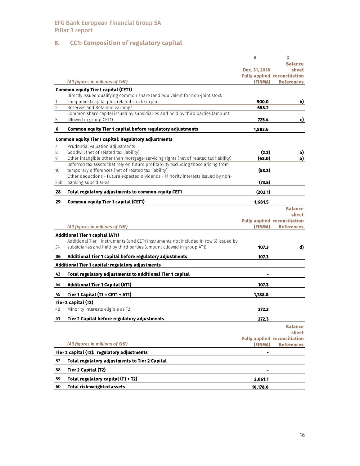# 8. CC1: Composition of regulatory capital

|                |                                                                                      | a             | b                                   |
|----------------|--------------------------------------------------------------------------------------|---------------|-------------------------------------|
|                |                                                                                      |               | <b>Balance</b>                      |
|                |                                                                                      | Dec. 31, 2018 | sheet                               |
|                |                                                                                      |               | <b>Fully applied reconciliation</b> |
|                | (All figures in millions of CHF)                                                     | (FINMA)       | <b>References</b>                   |
|                | <b>Common equity Tier I capital (CET1)</b>                                           |               |                                     |
|                | Directly issued qualifying common share (and equivalent for non-joint stock          |               |                                     |
| $\mathbf{1}$   | companies) capital plus related stock surplus                                        | 500.0         | b)                                  |
| $\overline{2}$ | Reserves and Retained earnings                                                       | 658.2         |                                     |
|                | Common share capital issued by subsidiaries and held by third parties (amount        |               |                                     |
| 5              | allowed in group CET1)                                                               | 725.4         | c)                                  |
| 6              | Common equity Tier 1 capital before regulatory adjustments                           | 1,883.6       |                                     |
|                | Common equity Tier I capital: Regulatory adjustments                                 |               |                                     |
| 7              | Prudential valuation adjustments                                                     |               |                                     |
| 8              | Goodwill (net of related tax liability)                                              | (2.3)         | <u>a)</u>                           |
| 9              | Other intangible other than mortgage-servicing rights (net of related tax liability) | (68.0)        | a)                                  |
|                | Deferred tax assets that rely on future profitability excluding those arising from   |               |                                     |
| 10             | temporary differences (net of related tax liability)                                 | (58.3)        |                                     |
|                | Other deductions - Future expected dividends - Minority interests issued by non-     |               |                                     |
| 26b            | banking subsidiaries                                                                 | (73.5)        |                                     |
| 28             | Total regulatory adjustments to common equity CET1                                   | (202.1)       |                                     |
| 29             | <b>Common equity Tier 1 capital (CET1)</b>                                           | 1,681.5       |                                     |
|                |                                                                                      |               | <b>Balance</b>                      |
|                |                                                                                      |               | sheet                               |
|                |                                                                                      |               | <b>Fully applied reconciliation</b> |
|                | (All figures in millions of CHF)                                                     | (FINMA)       | <b>References</b>                   |
|                | <b>Additional Tier 1 capital (AT1)</b>                                               |               |                                     |
|                | Additional Tier 1 instruments (and CET1 instruments not included in row 5) issued by |               |                                     |
| 34             | subsidiaries and held by third parties (amount allowed in group AT1)                 | 107.3         | d)                                  |
| 36             | Additional Tier 1 capital before regulatory adjustments                              | 107.3         |                                     |
|                | Additional Tier 1 capital: regulatory adjustments                                    |               |                                     |
| 43             | Total regulatory adjustments to additional Tier 1 capital                            |               |                                     |
| 44             | <b>Additional Tier 1 Capital (AT1)</b>                                               | 107.3         |                                     |
| 45             | Tier 1 Capital (T1 = CET1 + AT1)                                                     | 1,788.8       |                                     |
|                | Tier 2 capital (T2)                                                                  |               |                                     |
| 48             | Minority interests eligible as T2                                                    | 272.3         |                                     |
| 51             | Tier 2 Capital before regulatory adjustments                                         | 272.3         |                                     |
|                |                                                                                      |               | <b>Balance</b>                      |
|                |                                                                                      |               | sheet                               |
|                |                                                                                      |               | <b>Fully applied reconciliation</b> |
|                | (All figures in millions of CHF)                                                     | (FINMA)       | <b>References</b>                   |
|                | Tier 2 capital (T2): regulatory adjustments                                          |               |                                     |
| 57             | Total regulatory adjustments to Tier 2 Capital                                       |               |                                     |
| 58             | Tier 2 Capital (T2)                                                                  |               |                                     |
| 59             | Total regulatory capital (T1 + T2)                                                   | 2,061.1       |                                     |
| 60             | <b>Total risk-weighted assets</b>                                                    | 10,178.6      |                                     |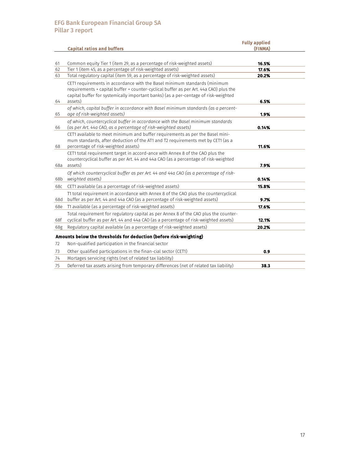|          |                                                                                                                                                                                                                                                                                                                                                     | <b>Fully applied</b><br>(FINMA) |  |
|----------|-----------------------------------------------------------------------------------------------------------------------------------------------------------------------------------------------------------------------------------------------------------------------------------------------------------------------------------------------------|---------------------------------|--|
|          | <b>Capital ratios and buffers</b>                                                                                                                                                                                                                                                                                                                   |                                 |  |
| 61<br>62 | Common equity Tier 1 (item 29, as a percentage of risk-weighted assets)<br>Tier 1 (item 45, as a percentage of risk-weighted assets)                                                                                                                                                                                                                | 16.5%<br>17.6%                  |  |
| 63<br>64 | Total regulatory capital (item 59, as a percentage of risk-weighted assets)<br>CET1 requirements in accordance with the Basel minimum standards (minimum<br>requirements + capital buffer + counter-cyclical buffer as per Art. 44a CAO) plus the<br>capital buffer for systemically important banks) (as a per-centage of risk-weighted<br>assets) | 20.2%<br>6.5%                   |  |
| 65       | of which, capital buffer in accordance with Basel minimum standards (as a percent-<br>age of risk-weighted assets)                                                                                                                                                                                                                                  | 1.9%                            |  |
| 66       | of which, countercyclical buffer in accordance with the Basel minimum standards<br>(as per Art. 44a CAO, as a percentage of risk-weighted assets)                                                                                                                                                                                                   | 0.14%                           |  |
| 68       | CET1 available to meet minimum and buffer requirements as per the Basel mini-<br>mum standards, after deduction of the AT1 and T2 requirements met by CET1 (as a<br>percentage of risk-weighted assets)                                                                                                                                             | 11.6%                           |  |
| 68a      | CET1 total requirement target in accord-ance with Annex 8 of the CAO plus the<br>countercyclical buffer as per Art. 44 and 44a CAO (as a percentage of risk-weighted<br>assets)                                                                                                                                                                     | 7.9%                            |  |
| 68b      | Of which countercyclical buffer as per Art. 44 and 44a CAO (as a percentage of risk-<br>weighted assets)                                                                                                                                                                                                                                            | 0.14%                           |  |
| 68c      | CET1 available (as a percentage of risk-weighted assets)                                                                                                                                                                                                                                                                                            | 15.8%                           |  |
| 68d      | T1 total requirement in accordance with Annex 8 of the CAO plus the countercyclical<br>buffer as per Art. 44 and 44a CAO (as a percentage of risk-weighted assets)                                                                                                                                                                                  | 9.7%                            |  |
| 68e      | T1 available (as a percentage of risk-weighted assets)                                                                                                                                                                                                                                                                                              | 17.6%                           |  |
| 68f      | Total requirement for regulatory capital as per Annex 8 of the CAO plus the counter-<br>cyclical buffer as per Art. 44 and 44a CAO (as a percentage of risk-weighted assets)                                                                                                                                                                        | 12.1%                           |  |
| 68g      | Regulatory capital available (as a percentage of risk-weighted assets)                                                                                                                                                                                                                                                                              | 20.2%                           |  |
|          | Amounts below the thresholds for deduction (before risk-weighting)                                                                                                                                                                                                                                                                                  |                                 |  |
| 72       | Non-qualified participation in the financial sector                                                                                                                                                                                                                                                                                                 |                                 |  |
| 73       | Other qualified participations in the finan-cial sector (CET1)                                                                                                                                                                                                                                                                                      | 0.9                             |  |
| 74       | Mortages servicing rights (net of related tax liability)                                                                                                                                                                                                                                                                                            |                                 |  |
| 75       | Deferred tax assets arising from temporary differences (net of related tax liability)                                                                                                                                                                                                                                                               | 38.3                            |  |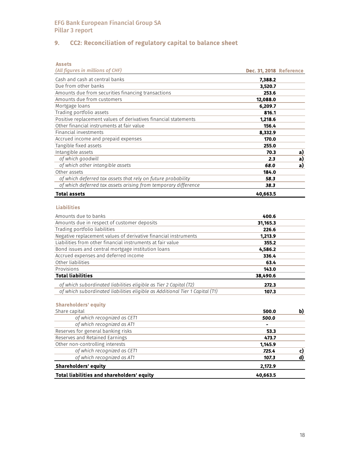# 9. CC2: Reconciliation of regulatory capital to balance sheet

Assets

| (All figures in millions of CHF)                                | Dec. 31, 2018 Reference |    |
|-----------------------------------------------------------------|-------------------------|----|
| Cash and cash at central banks                                  | 7,388.2                 |    |
| Due from other banks                                            | 3,520.7                 |    |
| Amounts due from securities financing transactions              | 253.6                   |    |
| Amounts due from customers                                      | 12,088.0                |    |
| Mortgage loans                                                  | 6,209.7                 |    |
| Trading portfolio assets                                        | 816.1                   |    |
| Positive replacement values of derivatives financial statements | 1,218.6                 |    |
| Other financial instruments at fair value                       | 156.4                   |    |
| Financial investments                                           | 8.332.9                 |    |
| Accrued income and prepaid expenses                             | 170.0                   |    |
| Tangible fixed assets                                           | 255.0                   |    |
| Intangible assets                                               | 70.3                    | a) |
| of which goodwill                                               | 2.3                     | a) |
| of which other intangible assets                                | 68.0                    | a) |
| Other assets                                                    | 184.0                   |    |
| of which deferred tax assets that rely on future probability    | 58.3                    |    |
| of which deferred tax assets arising from temporary difference  | 38.3                    |    |
| <b>Total assets</b>                                             | 40,663.5                |    |

#### Liabilities

| Amounts due to banks                                                         | 400.6    |  |
|------------------------------------------------------------------------------|----------|--|
| Amounts due in respect of customer deposits                                  | 31,165.3 |  |
| Trading portfolio liabilities                                                | 226.6    |  |
| Negative replacement values of derivative financial instruments              | 1,213.9  |  |
| Liabilities from other financial instruments at fair value                   | 355.2    |  |
| Bond issues and central mortgage institution loans                           | 4,586.2  |  |
| Accrued expenses and deferred income                                         | 336.4    |  |
| Other liabilities                                                            | 63.4     |  |
| Provisions                                                                   | 143.0    |  |
| <b>Total liabilities</b>                                                     | 38,490.6 |  |
| of which subordinated liabilities eligible as Tier 2 Capital (T2)            | 272.3    |  |
| of which subordinated liabilities eligible as Additional Tier 1 Capital (T1) | 107.3    |  |

# Shareholders' equity

| Share capital                              | 500.0    | b) |
|--------------------------------------------|----------|----|
| of which recognized as CET1                | 500.0    |    |
| of which recognized as AT1                 |          |    |
| Reserves for general banking risks         | 53.3     |    |
| Reserves and Retained Earnings             | 473.7    |    |
| Other non-controlling interests            | 1,145.9  |    |
| of which recognized as CET1                | 725.4    |    |
| of which recognized as AT1                 | 107.3    |    |
| <b>Shareholders' equity</b>                | 2,172.9  |    |
| Total liabilities and shareholders' equity | 40,663.5 |    |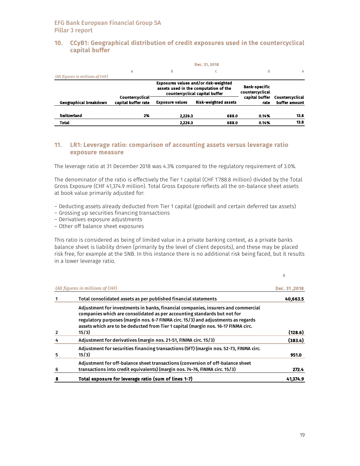### 10. CCyB1: Geographical distribution of credit exposures used in the countercyclical capital buffer

|                                  | a                                      | b                      |                                                                                                                  | d                                       | e                                |
|----------------------------------|----------------------------------------|------------------------|------------------------------------------------------------------------------------------------------------------|-----------------------------------------|----------------------------------|
| (All figures in millions of CHF) |                                        |                        |                                                                                                                  |                                         |                                  |
|                                  |                                        |                        | Exposures values and/or risk-weighted<br>assets used in the computation of the<br>countercyclical capital buffer | <b>Bank-specific</b><br>countercyclical |                                  |
| Geographical breakdown           | Countercyclical<br>capital buffer rate | <b>Exposure values</b> | <b>Risk-weighted assets</b>                                                                                      | capital buffer<br>rate                  | Countercyclical<br>buffer amount |
|                                  |                                        |                        | 688.0                                                                                                            | 0.14%                                   | 13.8                             |
| Switzerland                      | 2%                                     | 2.226.3                |                                                                                                                  |                                         |                                  |

# 11. LR1: Leverage ratio: comparison of accounting assets versus leverage ratio exposure measure

The leverage ratio at 31 December 2018 was 4.3% compared to the regulatory requirement of 3.0%.

The denominator of the ratio is effectively the Tier 1 capital (CHF 1'788.8 million) divided by the Total Gross Exposure (CHF 41,374.9 million). Total Gross Exposure reflects all the on-balance sheet assets at book value primarily adjusted for:

- Deducting assets already deducted from Tier 1 capital (goodwill and certain deferred tax assets)
- Grossing up securities financing transactions
- Derivatives exposure adjustments
- Other off balance sheet exposures

This ratio is considered as being of limited value in a private banking context, as a private banks balance sheet is liability driven (primarily by the level of client deposits), and these may be placed risk free, for example at the SNB. In this instance there is no additional risk being faced, but it results in a lower leverage ratio.

|   | (All figures in millions of CHF)                                                                                                                                                                                                                                                                                                                  | Dec. 31,2018 |
|---|---------------------------------------------------------------------------------------------------------------------------------------------------------------------------------------------------------------------------------------------------------------------------------------------------------------------------------------------------|--------------|
|   | Total consolidated assets as per published financial statements                                                                                                                                                                                                                                                                                   | 40,663.5     |
|   | Adjustment for investments in banks, financial companies, insurers and commercial<br>companies which are consolidated as per accounting standards but not for<br>regulatory purposes (margin nos. 6-7 FINMA circ. 15/3) and adjustments as regards<br>assets which are to be deducted from Tier 1 capital (margin nos. 16-17 FINMA circ.<br>15/3) | (128.6)      |
| 4 | Adjustment for derivatives (margin nos. 21-51, FINMA circ. 15/3)                                                                                                                                                                                                                                                                                  | (383.4)      |
| 5 | Adjustment for securities financing transactions (SFT) (margin nos. 52-73, FINMA circ.<br>15/3)                                                                                                                                                                                                                                                   | 951.0        |
| 6 | Adjustment for off-balance sheet transactions (conversion of off-balance sheet<br>transactions into credit equivalents) (margin nos. 74-76, FINMA circ. 15/3)                                                                                                                                                                                     | 272.4        |
| 8 | Total exposure for leverage ratio (sum of lines 1-7)                                                                                                                                                                                                                                                                                              | 41.374.9     |

a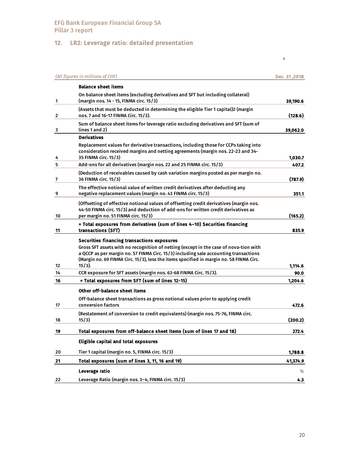# 12. LR2: Leverage ratio: detailed presentation

|    | (All figures in millions of CHF)                                                                                                                                                                                                                                                                                                            | Dec. 31 .2018 |
|----|---------------------------------------------------------------------------------------------------------------------------------------------------------------------------------------------------------------------------------------------------------------------------------------------------------------------------------------------|---------------|
|    | <b>Balance sheet items</b>                                                                                                                                                                                                                                                                                                                  |               |
| 1  | On balance sheet items (excluding derivatives and SFT but including collateral)<br>(margin nos. 14 - 15, FINMA circ. 15/3)                                                                                                                                                                                                                  | 39,190.6      |
| 2  | (Assets that must be deducted in determining the eligible Tier 1 capital)2 (margin<br>nos. 7 and 16-17 FINMA Circ. 15/3).                                                                                                                                                                                                                   | (128.6)       |
| 3  | Sum of balance sheet items for leverage ratio excluding derivatives and SFT (sum of<br>lines 1 and 2)                                                                                                                                                                                                                                       | 39,062.0      |
|    | <b>Derivatives</b>                                                                                                                                                                                                                                                                                                                          |               |
| 4  | Replacement values for derivative transactions, including those for CCPs taking into<br>consideration received margins and netting agreements (margin nos. 22-23 and 34-<br>35 FINMA circ. 15/3)                                                                                                                                            | 1,030.7       |
| 5  | Add-ons for all derivatives (margin nos. 22 and 25 FINMA circ. 15/3)                                                                                                                                                                                                                                                                        | 407.2         |
| 7  | (Deduction of receivables caused by cash variation margins posted as per margin no.<br>36 FINMA circ. 15/3)                                                                                                                                                                                                                                 | (787.9)       |
| 9  | The effective notional value of written credit derivatives after deducting any<br>negative replacement values (margin no. 43 FINMA circ. 15/3)                                                                                                                                                                                              | 351.1         |
| 10 | (Offsetting of effective notional values of offsetting credit derivatives (margin nos.<br>44-50 FINMA circ. 15/3) and deduction of add-ons for written credit derivatives as<br>per margin no. 51 FINMA circ. 15/3)                                                                                                                         | (165.2)       |
| 11 | = Total exposures from derivatives (sum of lines 4-10) Securities financing<br>transactions (SFT)                                                                                                                                                                                                                                           | 835.9         |
| 12 | <b>Securities financing transactions exposures</b><br>Gross SFT assets with no recognition of netting (except in the case of nova-tion with<br>a QCCP as per margin no. 57 FINMA Circ. 15/3) including sale accounting transactions<br>(Margin no. 69 FINMA Circ. 15/3), less the items specified in margin no. 58 FINMA Circ.<br>$15/3$ ). | 1,114.6       |
| 14 | CCR exposure for SFT assets (margin nos. 63-68 FINMA Circ. 15/3).                                                                                                                                                                                                                                                                           | 90.0          |
| 16 | = Total exposures from SFT (sum of lines 12-15)                                                                                                                                                                                                                                                                                             | 1,204.6       |
| 17 | Other off-balance sheet items<br>Off-balance sheet transactions as gross notional values prior to applying credit<br>conversion factors                                                                                                                                                                                                     | 472.6         |
| 18 | (Restatement of conversion to credit equivalents) (margin nos. 75-76, FINMA circ.<br>15/3)                                                                                                                                                                                                                                                  | (200.2)       |
| 19 | Total exposures from off-balance sheet items (sum of lines 17 and 18)                                                                                                                                                                                                                                                                       | 272.4         |
|    | Eligible capital and total exposures                                                                                                                                                                                                                                                                                                        |               |
| 20 | Tier 1 capital (margin no. 5, FINMA circ. 15/3)                                                                                                                                                                                                                                                                                             | 1,788.8       |
| 21 | Total exposures (sum of lines 3, 11, 16 and 19)                                                                                                                                                                                                                                                                                             | 41,374.9      |
|    | Leverage ratio                                                                                                                                                                                                                                                                                                                              | %             |
| 22 | Leverage Ratio (margin nos. 3-4, FINMA circ. 15/3)                                                                                                                                                                                                                                                                                          | 4.3           |

20

a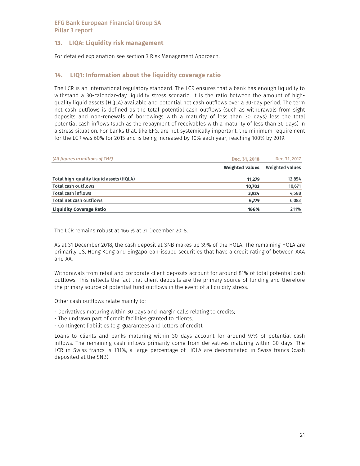# 13. LIQA: Liquidity risk management

For detailed explanation see section 3 Risk Management Approach.

# 14. LIQ1: Information about the liquidity coverage ratio

The LCR is an international regulatory standard. The LCR ensures that a bank has enough liquidity to withstand a 30-calendar-day liquidity stress scenario. It is the ratio between the amount of highquality liquid assets (HQLA) available and potential net cash outflows over a 30-day period. The term net cash outflows is defined as the total potential cash outflows (such as withdrawals from sight deposits and non-renewals of borrowings with a maturity of less than 30 days) less the total potential cash inflows (such as the repayment of receivables with a maturity of less than 30 days) in a stress situation. For banks that, like EFG, are not systemically important, the minimum requirement for the LCR was 60% for 2015 and is being increased by 10% each year, reaching 100% by 2019.

| (All figures in millions of CHF)        | Dec. 31, 2018          | Dec. 31, 2017   |
|-----------------------------------------|------------------------|-----------------|
|                                         | <b>Weighted values</b> | Weighted values |
| Total high-quality liquid assets (HQLA) | 11.279                 | 12,854          |
| Total cash outflows                     | 10,703                 | 10,671          |
| <b>Total cash inflows</b>               | 3.924                  | 4,588           |
| Total net cash outflows                 | 6.779                  | 6,083           |
| <b>Liquidity Coverage Ratio</b>         | 166%                   | 211%            |

The LCR remains robust at 166 % at 31 December 2018.

As at 31 December 2018, the cash deposit at SNB makes up 39% of the HQLA. The remaining HQLA are primarily US, Hong Kong and Singaporean-issued securities that have a credit rating of between AAA and AA.

Withdrawals from retail and corporate client deposits account for around 81% of total potential cash outflows. This reflects the fact that client deposits are the primary source of funding and therefore the primary source of potential fund outflows in the event of a liquidity stress.

Other cash outflows relate mainly to:

- Derivatives maturing within 30 days and margin calls relating to credits;
- The undrawn part of credit facilities granted to clients;
- Contingent liabilities (e.g. guarantees and letters of credit).

Loans to clients and banks maturing within 30 days account for around 97% of potential cash inflows. The remaining cash inflows primarily come from derivatives maturing within 30 days. The LCR in Swiss francs is 181%, a large percentage of HQLA are denominated in Swiss francs (cash deposited at the SNB).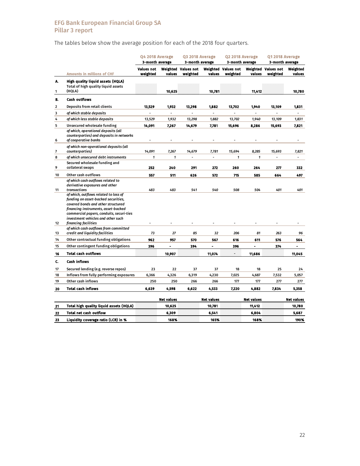The tables below show the average position for each of the 2018 four quarters.

|         |                                                                                                                                                                                                                                                                                              | Q4 2018 Average<br>3-month average |                   | Q3 2018 Average<br>3-month average |                   | Q2 2018 Average<br>3-month average |                    | Q12018 Average<br>3-month average |                    |  |
|---------|----------------------------------------------------------------------------------------------------------------------------------------------------------------------------------------------------------------------------------------------------------------------------------------------|------------------------------------|-------------------|------------------------------------|-------------------|------------------------------------|--------------------|-----------------------------------|--------------------|--|
|         | <b>Amounts in millions of CHF</b>                                                                                                                                                                                                                                                            | <b>Values not</b><br>weighted      | values            | Weighted Values not<br>weighted    | values            | Weighted Values not<br>weighted    | Weighted<br>values | <b>Values not</b><br>weighted     | Weighted<br>values |  |
| А.<br>1 | High quality liquid assets (HQLA)<br>Total of high quality liquid assets<br>(HQLA)                                                                                                                                                                                                           |                                    | 10.625            |                                    | 10,781            |                                    | 11,412             |                                   | 10,780             |  |
| B.      | <b>Cash outflows</b>                                                                                                                                                                                                                                                                         |                                    |                   |                                    |                   |                                    |                    |                                   |                    |  |
| 2       | Deposits from retail clients                                                                                                                                                                                                                                                                 | 13,529                             | 1,932             | 13,298                             | 1,882             | 13,702                             | 1,940              | 13,109                            | 1,831              |  |
| 3       | of which stable deposits                                                                                                                                                                                                                                                                     |                                    | ä,                |                                    | ä,                |                                    |                    |                                   |                    |  |
| 4       | of which less stable deposits                                                                                                                                                                                                                                                                | 13,529                             | 1,932             | 13,298                             | 1,882             | 13,702                             | 1,940              | 13,109                            | 1,831              |  |
| 5       | Unsecured wholesale funding                                                                                                                                                                                                                                                                  | 14,091                             | 7,267             | 14,679                             | 7,781             | 15,696                             | 8,286              | 15,693                            | 7,821              |  |
| 6       | of which, operational deposits (all<br>counterparties) and deposits in networks<br>of cooperative banks                                                                                                                                                                                      |                                    |                   |                                    |                   |                                    |                    |                                   |                    |  |
| 7       | of which non-operational deposits (all<br>counterparties)                                                                                                                                                                                                                                    | 14,091                             | 7,267             | 14,679                             | 7,781             | 15,694                             | 8,285              | 15,693                            | 7,821              |  |
| 8       | of which unsecured debt instruments                                                                                                                                                                                                                                                          | 1                                  | 1                 | ÷                                  | $\overline{a}$    | 1                                  | 1                  | $\overline{a}$                    | ٠                  |  |
|         | Secured wholesale funding and                                                                                                                                                                                                                                                                |                                    |                   |                                    |                   |                                    |                    |                                   |                    |  |
| 9       | collateral swaps                                                                                                                                                                                                                                                                             | 252                                | 240               | 291                                | 272               | 260                                | 264                | 277                               | 332                |  |
| 10      | Other cash outflows                                                                                                                                                                                                                                                                          | 557                                | 511               | 626                                | 572               | 715                                | 585                | 664                               | 497                |  |
| 11      | of which cash outflows related to<br>derivative exposures and other<br>transactions<br>of which, outflows related to loss of<br>funding on asset-backed securities,<br>covered bonds and other structured<br>financing instruments, asset-backed<br>commercial papers, conduits, securi-ties | 483                                | 483               | 541                                | 540               | 508                                | 504                | 401                               | 401                |  |
| 12      | investment vehicles and other such<br>financing facilities                                                                                                                                                                                                                                   |                                    |                   |                                    |                   |                                    |                    |                                   |                    |  |
| 13      | of which cash outflows from committed<br>credit and liquidity facilities                                                                                                                                                                                                                     | 73                                 | 27                | 85                                 | 32                | 206                                | 81                 | 263                               | 96                 |  |
| 14      | Other contractual funding obligations                                                                                                                                                                                                                                                        | 962                                | 957               | 570                                | 567               | 616                                | 611                | 576                               | 564                |  |
| 15      | Other contingent funding obligations                                                                                                                                                                                                                                                         | 396                                |                   | 394                                | L,                | 396                                |                    | 374                               |                    |  |
| 16      | <b>Total cash outflows</b>                                                                                                                                                                                                                                                                   |                                    | 10,907            |                                    | 11,074            |                                    | 11,686             |                                   | 11,045             |  |
| C.      | <b>Cash inflows</b>                                                                                                                                                                                                                                                                          |                                    |                   |                                    |                   |                                    |                    |                                   |                    |  |
| 17      | Secured lending (e.g. reverse repos)                                                                                                                                                                                                                                                         | 23                                 | 22                | 37                                 | 37                | 18                                 | 18                 | 25                                | 24                 |  |
| 18      | Inflows from fully performing exposures                                                                                                                                                                                                                                                      | 6,366                              | 4,326             | 6,319                              | 4,230             | 7,025                              | 4,687              | 7,532                             | 5,057              |  |
| 19      | Other cash inflows                                                                                                                                                                                                                                                                           | 250                                | 250               | 266                                | 266               | 177                                | 177                | 277                               | 277                |  |
| 20      | <b>Total cash inflows</b>                                                                                                                                                                                                                                                                    | 6,639                              | 4,598             | 6,622                              | 4,533             | 7,220                              | 4,882              | 7,834                             | 5,358              |  |
|         |                                                                                                                                                                                                                                                                                              |                                    |                   |                                    |                   |                                    |                    |                                   |                    |  |
|         | Total high quality liquid assets (HQLA)                                                                                                                                                                                                                                                      |                                    | <b>Net values</b> |                                    | <b>Net values</b> |                                    | <b>Net values</b>  |                                   | <b>Net values</b>  |  |
| 21      |                                                                                                                                                                                                                                                                                              |                                    | 10,625            |                                    | 10,781            |                                    | 11,412             |                                   | 10,780             |  |
| 22      | <b>Total net cash outflow</b>                                                                                                                                                                                                                                                                |                                    | 6,309             |                                    | 6,541             |                                    | 6,804              |                                   | 5,687              |  |
| 23      | Liquidity coverage ratio (LCR) in %                                                                                                                                                                                                                                                          |                                    | 168%              |                                    | 165%              |                                    | 168%               |                                   | 190%               |  |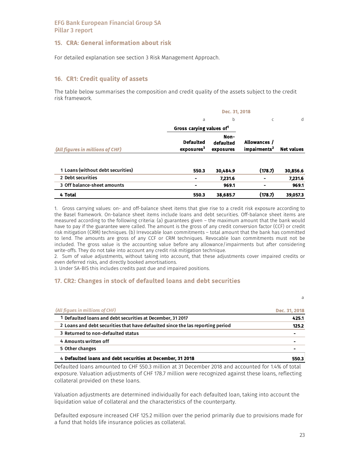# 15. CRA: General information about risk

For detailed explanation see section 3 Risk Management Approach.

## 16. CR1: Credit quality of assets

The table below summarises the composition and credit quality of the assets subject to the credit risk framework.

|                                   |                                            | Dec. 31, 2018                  |                                          |                   |
|-----------------------------------|--------------------------------------------|--------------------------------|------------------------------------------|-------------------|
|                                   | a                                          | b                              | C                                        | d                 |
|                                   | Gross carying values of                    |                                |                                          |                   |
| (All figures in millions of CHF)  | <b>Defaulted</b><br>exposures <sup>3</sup> | Non-<br>defaulted<br>exposures | Allowances /<br>impairments <sup>2</sup> | <b>Net values</b> |
| 1 Loans (without debt securities) | 550.3                                      | 30.484.9                       | (178.7)                                  | 30,856.6          |
| 2 Debt securities                 |                                            | 7,231.6                        |                                          | 7,231.6           |
| 3 Off balance-sheet amounts       |                                            | 969.1                          | ۰                                        | 969.1             |
| 4 Total                           | 550.3                                      | 38,685.7                       | (178.7)                                  | 39,057.3          |

1. Gross carrying values: on- and off-balance sheet items that give rise to a credit risk exposure according to the Basel framework. On-balance sheet items include loans and debt securities. Off-balance sheet items are measured according to the following criteria: (a) guarantees given – the maximum amount that the bank would have to pay if the guarantee were called. The amount is the gross of any credit conversion factor (CCF) or credit risk mitigation (CRM) techniques. (b) Irrevocable loan commitments – total amount that the bank has committed to lend. The amounts are gross of any CCF or CRM techniques. Revocable loan commitments must not be included. The gross value is the accounting value before any allowance/impairments but after considering write-offs. They do not take into account any credit risk mitigation technique.

2. Sum of value adjustments, without taking into account, that these adjustments cover impaired credits or even deferred risks, and directly booked amortisations.

3. Under SA-BIS this includes credits past due and impaired positions.

# 17. CR2: Changes in stock of defaulted loans and debt securities

|                                                                                | a             |
|--------------------------------------------------------------------------------|---------------|
| (All figues in millions of CHF)                                                | Dec. 31, 2018 |
| 1 Defaulted loans and debt securities at December, 31 2017                     | 425.1         |
| 2 Loans and debt securities that have defaulted since the las reporting period | 125.2         |
| 3 Returned to non-defaulted status                                             | -             |
| 4 Amounts written off                                                          |               |
| 5 Other changes                                                                | -             |
| 4 Defaulted loans and debt securities at December, 31 2018                     | 550.3         |

Defaulted loans amounted to CHF 550.3 million at 31 December 2018 and accounted for 1.4% of total exposure. Valuation adjustments of CHF 178.7 million were recognized against these loans, reflecting collateral provided on these loans.

Valuation adjustments are determined individually for each defaulted loan, taking into account the liquidation value of collateral and the characteristics of the counterparty.

Defaulted exposure increased CHF 125.2 million over the period primarily due to provisions made for a fund that holds life insurance policies as collateral.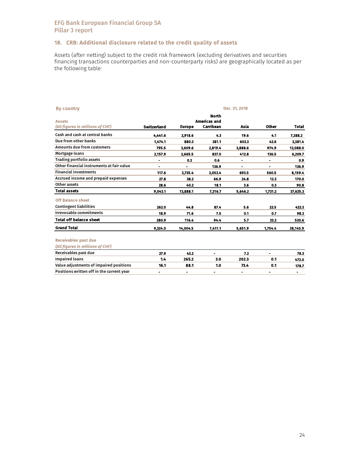# 18. CRB: Additional disclosure related to the credit quality of assets

Assets (after netting) subject to the credit risk framework (excluding derivatives and securities financing transactions counterparties and non-counterparty risks) are geographically located as per the following table:

| <b>By country</b>                                 |                          |               |                                                  | Dec. 31, 2018  |              |          |
|---------------------------------------------------|--------------------------|---------------|--------------------------------------------------|----------------|--------------|----------|
| <b>Assets</b><br>(All figures in millions of CHF) | Switzerland              | <b>Europe</b> | <b>North</b><br><b>Americas and</b><br>Carribean | Asia           | <b>Other</b> | Total    |
| Cash and cash at central banks                    | 4,441.6                  | 2.918.6       | 4.3                                              | 19.6           | 4.1          | 7,388.2  |
| Due from other banks                              | 1.474.1                  | 880.3         | 381.1                                            | 603.3          | 42.6         | 3.381.4  |
| <b>Amounts due from customers</b>                 | 795.5                    | 3.609.6       | 2.819.4                                          | 3,888.6        | 974.9        | 12,088.0 |
| Mortgage loans                                    | 2,157.9                  | 2.665.5       | 837.0                                            | 412.8          | 136.5        | 6,209.7  |
| <b>Trading portfolio assets</b>                   | $\overline{\phantom{0}}$ | 0.3           | 0.6                                              | $\blacksquare$ | ٠            | 0.9      |
| Other financial instruments at fair value         | ۰                        | ۰             | 136.9                                            | ۰              |              | 136.9    |
| <b>Financial investments</b>                      | 117.6                    | 3,735.4       | 3,052.4                                          | 693.5          | 560.5        | 8,159.4  |
| Accrued income and prepaid expenses               | 27.8                     | 38.2          | 66.9                                             | 24.8           | 12.3         | 170.0    |
| Other assets                                      | 28.6                     | 40.2          | 18.1                                             | 3.6            | 0.3          | 90.8     |
| <b>Total assets</b>                               | 9,043.1                  | 13,888.1      | 7,316.7                                          | 5,646.2        | 1,731.2      | 37,625.3 |
| <b>Off Balance sheet</b>                          |                          |               |                                                  |                |              |          |
| <b>Contingent liabilities</b>                     | 262.0                    | 44.8          | 87.4                                             | 5.6            | 22.5         | 422.3    |
| <b>Irrevocable commitments</b>                    | 18.9                     | 71.6          | 7.0                                              | 0.1            | 0.7          | 98.3     |
| <b>Total off balance sheet</b>                    | 280.9                    | 116.4         | 94.4                                             | 5.7            | 23.2         | 520.6    |
| <b>Grand Total</b>                                | 9,324.0                  | 14,004.5      | 7,411.1                                          | 5,651.9        | 1,754.4      | 38,145.9 |
| <b>Receivables past due</b>                       |                          |               |                                                  |                |              |          |
| (All figures in millions of CHF)                  |                          |               |                                                  |                |              |          |
| Receivables past due                              | 27.9                     | 43.2          | ä,                                               | 7.2            |              | 78.3     |
| <b>Impaired loans</b>                             | 1.4                      | 265.2         | 3.0                                              | 202.3          | 0.1          | 472.0    |
| Value adjustments of impaired positions           | 16.1                     | 88.1          | 1.0                                              | 73.4           | 0.1          | 178.7    |
| Positions written off in the current year         | ۰                        | ۰             | ۰                                                | ۰              | ۰            | ۰        |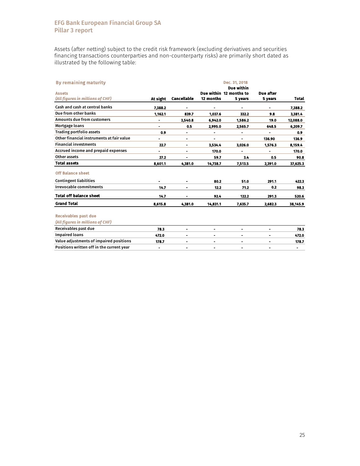Assets (after netting) subject to the credit risk framework (excluding derivatives and securities financing transactions counterparties and non-counterparty risks) are primarily short dated as illustrated by the following table:

| <b>By remaining maturity</b>              |                |                    |                | Dec. 31, 2018                         |                |              |
|-------------------------------------------|----------------|--------------------|----------------|---------------------------------------|----------------|--------------|
| <b>Assets</b>                             |                |                    |                | Due within<br>Due within 12 months to | Due after      |              |
| (All figures in millions of CHF)          | At sight       | <b>Cancellable</b> | 12 months      | 5 years                               | 5 years        | <b>Total</b> |
| Cash and cash at central banks            |                |                    |                |                                       |                |              |
|                                           | 7,388.2        |                    |                |                                       |                | 7,388.2      |
| Due from other banks                      | 1.162.1        | 839.7              | 1.037.6        | 332.2                                 | 9.8            | 3.381.4      |
| <b>Amounts due from customers</b>         |                | 3,540.8            | 6,942.0        | 1,586.2                               | 19.0           | 12,088.0     |
| Mortgage loans                            | ۰              | 0.5                | 2,995.0        | 2,565.7                               | 648.5          | 6,209.7      |
| <b>Trading portfolio assets</b>           | 0.9            | ۰                  | $\blacksquare$ | ٠                                     | ÷              | 0.9          |
| Other financial instruments at fair value |                | $\blacksquare$     |                |                                       | 136.90         | 136.9        |
| <b>Financial investments</b>              | 22.7           | $\blacksquare$     | 3.534.4        | 3,026.0                               | 1,576.3        | 8,159.4      |
| Accrued income and prepaid expenses       | $\blacksquare$ | ۰                  | 170.0          | ۰                                     | $\blacksquare$ | 170.0        |
| Other assets                              | 27.2           |                    | 59.7           | 3.4                                   | 0.5            | 90.8         |
| <b>Total assets</b>                       | 8,601.1        | 4.381.0            | 14,738.7       | 7,513.5                               | 2,391.0        | 37,625.3     |
| <b>Off Balance sheet</b>                  |                |                    |                |                                       |                |              |
| <b>Contingent liabilities</b>             | ٠              | ۰                  | 80.2           | 51.0                                  | 291.1          | 422.3        |
| <b>Irrevocable commitments</b>            | 14.7           | ۰                  | 12.2           | 71.2                                  | 0.2            | 98.3         |
| <b>Total off balance sheet</b>            | 14.7           |                    | 92.4           | 122.2                                 | 291.3          | 520.6        |
| <b>Grand Total</b>                        | 8.615.8        | 4,381.0            | 14,831.1       | 7,635.7                               | 2,682.3        | 38,145.9     |
|                                           |                |                    |                |                                       |                |              |
| <b>Receivables past due</b>               |                |                    |                |                                       |                |              |
| (All figures in millions of CHF)          |                |                    |                |                                       |                |              |
| Receivables past due                      | 78.3           | $\blacksquare$     |                |                                       | ۰              | 78.3         |
| <b>Impaired loans</b>                     | 472.0          | $\blacksquare$     | $\blacksquare$ | ٠                                     |                | 472.0        |
| Value adjustments of impaired positions   | 178.7          | $\blacksquare$     | $\blacksquare$ | ۰                                     | $\blacksquare$ | 178.7        |
| Positions written off in the current year | ۰              | ۰                  | $\blacksquare$ | ۰                                     | ۰              | ۰            |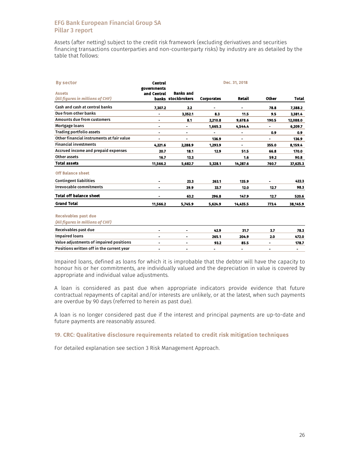Assets (after netting) subject to the credit risk framework (excluding derivatives and securities financing transactions counterparties and non-counterparty risks) by industry are as detailed by the table that follows:

| <b>By sector</b>                                                | <b>Central</b>             |                                        |                | Dec. 31, 2018 |              |                |
|-----------------------------------------------------------------|----------------------------|----------------------------------------|----------------|---------------|--------------|----------------|
| <b>Assets</b><br>(All figures in millions of CHF)               | governments<br>and Central | <b>Banks and</b><br>banks stockbrokers | Corporates     | Retail        | <b>Other</b> | Total          |
| Cash and cash at central banks                                  | 7.307.2                    | 2.2                                    |                |               | 78.8         | 7,388.2        |
| Due from other banks                                            | ٠                          | 3,352.1                                | 8.3            | 11.5          | 9.5          | 3,381.4        |
| Amounts due from customers                                      | ۰                          | 8.1                                    | 2,210.8        | 9,678.6       | 190.5        | 12,088.0       |
| Mortgage loans                                                  | ٠                          | ۰                                      | 1,665.3        | 4,544.4       |              | 6,209.7        |
| <b>Trading portfolio assets</b>                                 | ٠                          | ۰                                      | ۰              | ۰             | 0.9          | 0.9            |
| Other financial instruments at fair value                       |                            |                                        | 136.9          | -             |              | 136.9          |
| <b>Financial investments</b>                                    | 4.221.6                    | 2.288.9                                | 1.293.9        |               | 355.0        | 8.159.4        |
| Accrued income and prepaid expenses                             | 20.7                       | 18.1                                   | 12.9           | 51.5          | 66.8         | 170.0          |
| Other assets                                                    | 16.7                       | 13.3                                   |                | 1.6           | 59.2         | 90.8           |
| <b>Total assets</b>                                             | 11,566.2                   | 5,682.7                                | 5,328.1        | 14,287.6      | 760.7        | 37,625.3       |
| <b>Off Balance sheet</b>                                        |                            |                                        |                |               |              |                |
| <b>Contingent liabilities</b>                                   | ۰                          | 23.3                                   | 263.1          | 135.9         |              | 422.3          |
| <b>Irrevocable commitments</b>                                  | ٠                          | 39.9                                   | 33.7           | 12.0          | 12.7         | 98.3           |
| <b>Total off balance sheet</b>                                  |                            | 63.2                                   | 296.8          | 147.9         | 12.7         | 520.6          |
| <b>Grand Total</b>                                              | 11,566.2                   | 5,745.9                                | 5,624.9        | 14,435.5      | 773.4        | 38,145.9       |
| <b>Receivables past due</b><br>(All figures in millions of CHF) |                            |                                        |                |               |              |                |
| Receivables past due                                            | -                          |                                        | 42.9           | 31.7          | 3.7          | 78.3           |
| <b>Impaired loans</b>                                           | $\overline{\phantom{0}}$   |                                        | 265.1          | 204.9         | 2.0          | 472.0          |
| Value adjustments of impaired positions                         | $\blacksquare$             | $\blacksquare$                         | 93.2           | 85.5          | Ξ.           | 178.7          |
| Positions written off in the current vear                       | ۰                          | -                                      | $\blacksquare$ | ۰             |              | $\blacksquare$ |

Impaired loans, defined as loans for which it is improbable that the debtor will have the capacity to honour his or her commitments, are individually valued and the depreciation in value is covered by appropriate and individual value adjustments.

A loan is considered as past due when appropriate indicators provide evidence that future contractual repayments of capital and/or interests are unlikely, or at the latest, when such payments are overdue by 90 days (referred to herein as past due).

A loan is no longer considered past due if the interest and principal payments are up-to-date and future payments are reasonably assured.

### 19. CRC: Qualitative disclosure requirements related to credit risk mitigation techniques

For detailed explanation see section 3 Risk Management Approach.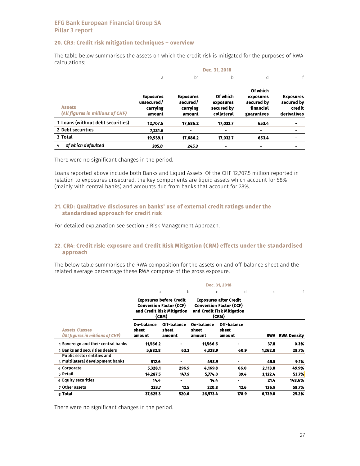### 20. CR3: Credit risk mitigation techniques – overview

|                                                   |                                                      |                                                    | Dec. 31, 2018                                     |                                                                       |                                                         |
|---------------------------------------------------|------------------------------------------------------|----------------------------------------------------|---------------------------------------------------|-----------------------------------------------------------------------|---------------------------------------------------------|
|                                                   | a                                                    | b <sub>1</sub>                                     | b                                                 | d                                                                     |                                                         |
| <b>Assets</b><br>(All figures in millions of CHF) | <b>Exposures</b><br>unsecured/<br>carrying<br>amount | <b>Exposures</b><br>secured/<br>carrying<br>amount | Of which<br>exposures<br>secured by<br>collateral | <b>Of which</b><br>exposures<br>secured by<br>financial<br>guarantees | <b>Exposures</b><br>secured by<br>credit<br>derivatives |
| 1 Loans (without debt securities)                 | 12,707.5                                             | 17,686.2                                           | 17,032.7                                          | 653.4                                                                 | $\blacksquare$                                          |
| 2 Debt securities                                 | 7.231.6                                              | $\blacksquare$                                     | ۰                                                 |                                                                       |                                                         |
| 3 Total                                           | 19,939.1                                             | 17,686.2                                           | 17.032.7                                          | 653.4                                                                 | $\blacksquare$                                          |
| of which defaulted<br>4                           | 305.0                                                | 245.3                                              |                                                   | -                                                                     |                                                         |

The table below summarises the assets on which the credit risk is mitigated for the purposes of RWA calculations:

There were no significant changes in the period.

Loans reported above include both Banks and Liquid Assets. Of the CHF 12,707.5 million reported in relation to exposures unsecured, the key components are liquid assets which account for 58% (mainly with central banks) and amounts due from banks that account for 28%.

#### 21. CRD: Qualitative disclosures on banks' use of external credit ratings under the standardised approach for credit risk

For detailed explanation see section 3 Risk Management Approach.

#### 22. CR4: Credit risk: exposure and Credit Risk Mitigation (CRM) effects under the standardised approach

The below table summarises the RWA composition for the assets on and off-balance sheet and the related average percentage these RWA comprise of the gross exposure.

|                                                                                                         |                               |                                |                               | Dec. 31, 2018                                                                                          |            |                    |
|---------------------------------------------------------------------------------------------------------|-------------------------------|--------------------------------|-------------------------------|--------------------------------------------------------------------------------------------------------|------------|--------------------|
|                                                                                                         | a                             | b                              | C                             | d                                                                                                      | e          | f                  |
| <b>Exposures before Credit</b><br><b>Conversion Factor (CCF)</b><br>and Credit Risk Mitigation<br>(CRM) |                               |                                |                               | <b>Exposures after Credit</b><br><b>Conversion Factor (CCF)</b><br>and Credit Fisk Mitigation<br>(CRM) |            |                    |
| <b>Assets Classes</b><br>(All figures in millions of CHF)                                               | On-balance<br>sheet<br>amount | Off-balance<br>sheet<br>amount | On-balance<br>sheet<br>amount | Off-balance<br>sheet<br>amount                                                                         | <b>RWA</b> | <b>RWA Density</b> |
| 1 Sovereign and their central banks                                                                     | 11,566.2                      |                                | 11.566.6                      |                                                                                                        | 37.8       | 0.3%               |
| 2 Banks and securities dealers                                                                          | 5.682.8                       | 63.3                           | 4,328.9                       | 60.9                                                                                                   | 1,262.0    | 28.7%              |
| <b>Public sector entities and</b><br>3 multilateral development banks                                   | 512.6                         |                                | 498.9                         |                                                                                                        | 45.5       | 9.1%               |
| 4 Corporate                                                                                             | 5,328.1                       | 296.9                          | 4,169.8                       | 66.0                                                                                                   | 2,113.8    | 49.9%              |
| 5 Retail                                                                                                | 14.287.5                      | 147.9                          | 5,774.0                       | 39.4                                                                                                   | 3,122.4    | 53.7%              |
| 6 Equity securities                                                                                     | 14.4                          | -                              | 14.4                          |                                                                                                        | 21.4       | 148.6%             |
| 7 Other assets                                                                                          | 233.7                         | 12.5                           | 220.8                         | 12.6                                                                                                   | 136.9      | 58.7%              |
| 8 Total                                                                                                 | 37,625.3                      | 520.6                          | 26,573.4                      | 178.9                                                                                                  | 6.739.8    | 25.2%              |

There were no significant changes in the period.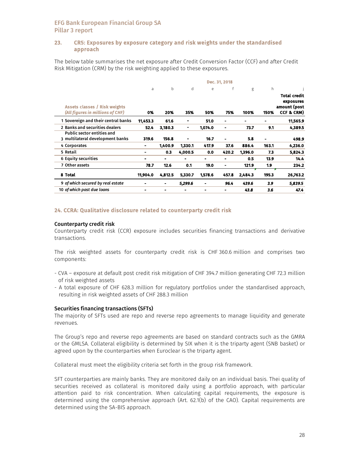### 23. CR5: Exposures by exposure category and risk weights under the standardised approach

The below table summarises the net exposure after Credit Conversion Factor (CCF) and after Credit Risk Mitigation (CRM) by the risk weighting applied to these exposures.

|                                                                          | Dec. 31, 2018  |         |         |         |       |         |       |                                                         |  |
|--------------------------------------------------------------------------|----------------|---------|---------|---------|-------|---------|-------|---------------------------------------------------------|--|
|                                                                          | a              | b       | d       | e       | f     | g       | h     |                                                         |  |
| <b>Assets classes / Risk weights</b><br>(All figures in millions of CHF) | 0%             | 20%     | 35%     | 50%     | 75%   | 100%    | 150%  | Total credit<br>exposures<br>amount (post<br>CCF & CRM) |  |
| 1 Sovereign and their central banks                                      | 11,453.3       | 61.6    |         | 51.0    | ۰     |         |       | 11,565.9                                                |  |
| 2 Banks and securities dealers                                           | 52.4           | 3.180.3 | ۰       | 1.074.0 | ۰     | 73.7    | 9.1   | 4.389.5                                                 |  |
| <b>Public sector entities and</b><br>3 multilateral development banks    | 319.6          | 156.8   |         | 16.7    |       | 5.8     |       | 498.9                                                   |  |
| 4 Corporates                                                             | $\blacksquare$ | 1,400.9 | 1,330.1 | 417.9   | 37.6  | 886.4   | 163.1 | 4,236.0                                                 |  |
| 5 Retail                                                                 |                | 0.3     | 4,000.5 | 0.0     | 420.2 | 1,396.0 | 7.3   | 5,824.3                                                 |  |
| 6 Equity securities                                                      | -              | -       | -       |         |       | 0.5     | 13.9  | 14.4                                                    |  |
| 7 Other assets                                                           | 78.7           | 12.6    | 0.1     | 19.0    | ۰     | 121.9   | 1.9   | 234.2                                                   |  |
| 8 Total                                                                  | 11,904.0       | 4,812.5 | 5.330.7 | 1,578.6 | 457.8 | 2,484.3 | 195.3 | 26,763.2                                                |  |
| 9 of which secured by real estate                                        |                |         | 5,299.6 |         | 96.4  | 439.6   | 3.9   | 5,839.5                                                 |  |
| 10 of which past due loans                                               | $\blacksquare$ |         |         |         |       | 43.8    | 3.6   | 47.4                                                    |  |

#### 24. CCRA: Qualitative disclosure related to counterparty credit risk

#### Counterparty credit risk

Counterparty credit risk (CCR) exposure includes securities financing transactions and derivative transactions.

The risk weighted assets for counterparty credit risk is CHF 360.6 million and comprises two components:

- CVA exposure at default post credit risk mitigation of CHF 394.7 million generating CHF 72.3 million of risk weighted assets
- A total exposure of CHF 628.3 million for regulatory portfolios under the standardised approach, resulting in risk weighted assets of CHF 288.3 million

#### Securities financing transactions (SFTs)

The majority of SFTs used are repo and reverse repo agreements to manage liquidity and generate revenues.

The Group's repo and reverse repo agreements are based on standard contracts such as the GMRA or the GMLSA. Collateral eligibility is determined by SIX when it is the triparty agent (SNB basket) or agreed upon by the counterparties when Euroclear is the triparty agent.

Collateral must meet the eligibility criteria set forth in the group risk framework.

SFT counterparties are mainly banks. They are monitored daily on an individual basis. Thei quality of securities received as collateral is monitored daily using a portfolio approach, with particular attention paid to risk concentration. When calculating capital requirements, the exposure is determined using the comprehensive approach (Art. 62.1(b) of the CAO). Capital requirements are determined using the SA-BIS approach.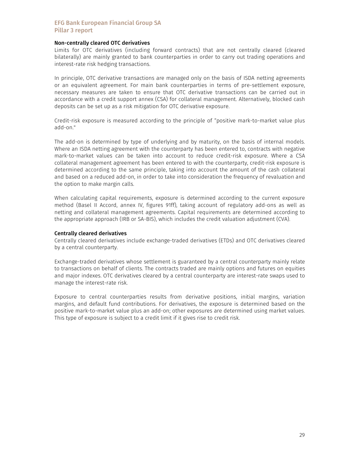#### Non-centrally cleared OTC derivatives

Limits for OTC derivatives (including forward contracts) that are not centrally cleared (cleared bilaterally) are mainly granted to bank counterparties in order to carry out trading operations and interest-rate risk hedging transactions.

In principle, OTC derivative transactions are managed only on the basis of ISDA netting agreements or an equivalent agreement. For main bank counterparties in terms of pre-settlement exposure, necessary measures are taken to ensure that OTC derivative transactions can be carried out in accordance with a credit support annex (CSA) for collateral management. Alternatively, blocked cash deposits can be set up as a risk mitigation for OTC derivative exposure.

Credit-risk exposure is measured according to the principle of "positive mark-to-market value plus add-on."

The add-on is determined by type of underlying and by maturity, on the basis of internal models. Where an ISDA netting agreement with the counterparty has been entered to, contracts with negative mark-to-market values can be taken into account to reduce credit-risk exposure. Where a CSA collateral management agreement has been entered to with the counterparty, credit-risk exposure is determined according to the same principle, taking into account the amount of the cash collateral and based on a reduced add-on, in order to take into consideration the frequency of revaluation and the option to make margin calls.

When calculating capital requirements, exposure is determined according to the current exposure method (Basel II Accord, annex IV, figures 91ff), taking account of regulatory add-ons as well as netting and collateral management agreements. Capital requirements are determined according to the appropriate approach (IRB or SA-BIS), which includes the credit valuation adjustment (CVA).

#### Centrally cleared derivatives

Centrally cleared derivatives include exchange-traded derivatives (ETDs) and OTC derivatives cleared by a central counterparty.

Exchange-traded derivatives whose settlement is guaranteed by a central counterparty mainly relate to transactions on behalf of clients. The contracts traded are mainly options and futures on equities and major indexes. OTC derivatives cleared by a central counterparty are interest-rate swaps used to manage the interest-rate risk.

Exposure to central counterparties results from derivative positions, initial margins, variation margins, and default fund contributions. For derivatives, the exposure is determined based on the positive mark-to-market value plus an add-on; other exposures are determined using market values. This type of exposure is subject to a credit limit if it gives rise to credit risk.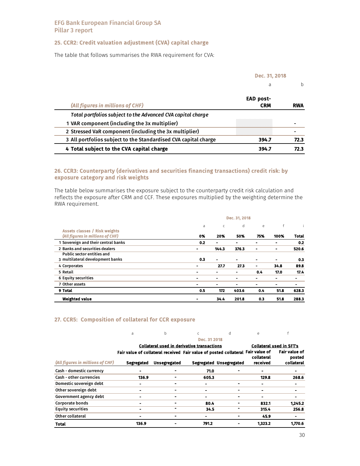# 25. CCR2: Credit valuation adjustment (CVA) capital charge

The table that follows summarises the RWA requirement for CVA:

|                                                                 | Dec. 31, 2018                  |            |
|-----------------------------------------------------------------|--------------------------------|------------|
|                                                                 | a                              | h          |
| (All figures in millions of CHF)                                | <b>EAD post-</b><br><b>CRM</b> | <b>RWA</b> |
| Total portfolios subject to the Advanced CVA capital charge     |                                |            |
| 1 VAR component (including the 3x multiplier)                   |                                |            |
| 2 Stressed VaR component (including the 3x multiplier)          |                                |            |
| 3 All portfolios subject to the Standardised CVA capital charge | 394.7                          | 72.3       |
| 4 Total subject to the CVA capital charge                       | 394.7                          | 72.3       |

### 26. CCR3: Counterparty (derivatives and securities financing transactions) credit risk: by exposure category and risk weights

The table below summarises the exposure subject to the counterparty credit risk calculation and reflects the exposure after CRM and CCF. These exposures multiplied by the weighting determine the RWA requirement.

|                                      | Dec. 31, 2018            |                |                |                |                |              |  |  |  |
|--------------------------------------|--------------------------|----------------|----------------|----------------|----------------|--------------|--|--|--|
| <b>Assets classes / Risk weights</b> | a                        | C              | d              | e              | f              |              |  |  |  |
| (All figures in millions of CHF)     | 0%                       | 20%            | 50%            | 75%            | 100%           | <b>Total</b> |  |  |  |
| 1 Sovereign and their central banks  | 0.2                      | $\blacksquare$ | $\blacksquare$ | $\blacksquare$ |                | 0.2          |  |  |  |
| 2 Banks and securities dealers       | ۰                        | 144.3          | 376.3          | ۰              | $\blacksquare$ | 520.6        |  |  |  |
| <b>Public sector entities and</b>    |                          |                |                |                |                |              |  |  |  |
| 3 multilateral development banks     | 0.3                      | $\blacksquare$ | $\blacksquare$ | $\blacksquare$ | $\blacksquare$ | 0.3          |  |  |  |
| 4 Corporates                         | $\blacksquare$           | 27.7           | 27.3           |                | 34.8           | 89.8         |  |  |  |
| 5 Retail                             |                          | ۰              | ۰              | 0.4            | 17.0           | 17.4         |  |  |  |
| 6 Equity securities                  | $\overline{\phantom{0}}$ | $\blacksquare$ | $\blacksquare$ |                |                |              |  |  |  |
| 7 Other assets                       |                          | -              | $\blacksquare$ |                |                |              |  |  |  |
| 9 Total                              | 0.5                      | 172            | 403.6          | 0.4            | 51.8           | 628.3        |  |  |  |
| <b>Weighted value</b>                | ٠                        | 34.4           | 201.8          | 0.3            | 51.8           | 288.3        |  |  |  |

#### 27. CCR5: Composition of collateral for CCR exposure

|                                  | a                                                                               | h                                          |              | d                       | e                               |                                |
|----------------------------------|---------------------------------------------------------------------------------|--------------------------------------------|--------------|-------------------------|---------------------------------|--------------------------------|
|                                  |                                                                                 |                                            | Dec. 31 2018 |                         |                                 |                                |
|                                  |                                                                                 | Collateral used in derivative transactions |              |                         | <b>Collateral used in SFT's</b> |                                |
|                                  | Fair value of collateral received Fair value of posted collateral Fair value of |                                            |              |                         | collateral                      | <b>Fair value of</b><br>posted |
| (All figures in millions of CHF) | <b>Segregated</b>                                                               | <b>Unsegregated</b>                        |              | Segregated Unsegregated | received                        | collateral                     |
| Cash - domestic currency         | -                                                                               |                                            | 71.0         |                         | Ξ.                              |                                |
| <b>Cash - other currencies</b>   | 136.9                                                                           |                                            | 605.3        |                         | 129.8                           | 268.6                          |
| Domestic sovereign debt          |                                                                                 |                                            |              |                         |                                 |                                |
| Other sovereign debt             |                                                                                 |                                            |              |                         |                                 |                                |
| Government agency debt           |                                                                                 |                                            |              |                         |                                 |                                |
| <b>Corporate bonds</b>           | $\blacksquare$                                                                  |                                            | 80.4         |                         | 832.1                           | 1,245.2                        |
| <b>Equity securities</b>         |                                                                                 | -                                          | 34.5         |                         | 315.4                           | 256.8                          |
| Other collateral                 | -                                                                               |                                            |              |                         | 45.9                            |                                |
| <b>Total</b>                     | 136.9                                                                           |                                            | 791.2        |                         | 1.323.2                         | 1.770.6                        |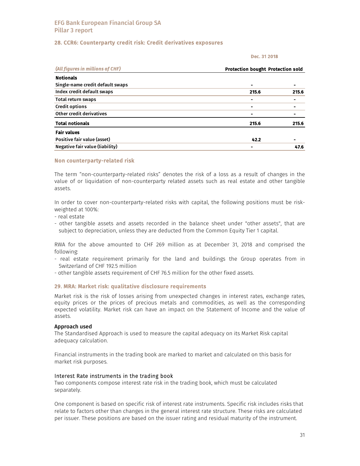### 28. CCR6: Counterparty credit risk: Credit derivatives exposures

#### Dec. 31 2018

| (All figures in millions of CHF) | <b>Protection bought Protection sold</b> |       |  |
|----------------------------------|------------------------------------------|-------|--|
| <b>Notionals</b>                 |                                          |       |  |
| Single-name credit default swaps |                                          |       |  |
| Index credit default swaps       | 215.6                                    | 215.6 |  |
| Total return swaps               |                                          |       |  |
| <b>Credit options</b>            |                                          |       |  |
| Other credit derivatives         |                                          |       |  |
| <b>Total notionals</b>           | 215.6                                    | 215.6 |  |
| <b>Fair values</b>               |                                          |       |  |
| Positive fair value (asset)      | 42.2                                     |       |  |
| Negative fair value (liability)  |                                          | 47.6  |  |

#### Non counterparty-related risk

The term "non-counterparty-related risks" denotes the risk of a loss as a result of changes in the value of or liquidation of non-counterparty related assets such as real estate and other tangible assets.

In order to cover non-counterparty-related risks with capital, the following positions must be riskweighted at 100%:

- real estate
- other tangible assets and assets recorded in the balance sheet under "other assets", that are subject to depreciation, unless they are deducted from the Common Equity Tier 1 capital.

RWA for the above amounted to CHF 269 million as at December 31, 2018 and comprised the following:

- real estate requirement primarily for the land and buildings the Group operates from in Switzerland of CHF 192.5 million
- other tangible assets requirement of CHF 76.5 million for the other fixed assets.

#### 29. MRA: Market risk: qualitative disclosure requirements

Market risk is the risk of losses arising from unexpected changes in interest rates, exchange rates, equity prices or the prices of precious metals and commodities, as well as the corresponding expected volatility. Market risk can have an impact on the Statement of Income and the value of assets.

#### Approach used

The Standardised Approach is used to measure the capital adequacy on its Market Risk capital adequacy calculation.

Financial instruments in the trading book are marked to market and calculated on this basis for market risk purposes.

#### Interest Rate instruments in the trading book

Two components compose interest rate risk in the trading book, which must be calculated separately.

One component is based on specific risk of interest rate instruments. Specific risk includes risks that relate to factors other than changes in the general interest rate structure. These risks are calculated per issuer. These positions are based on the issuer rating and residual maturity of the instrument.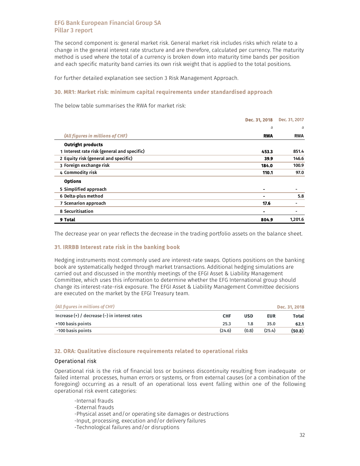The second component is: general market risk. General market risk includes risks which relate to a change in the general interest rate structure and are therefore, calculated per currency. The maturity method is used where the total of a currency is broken down into maturity time bands per position and each specific maturity band carries its own risk weight that is applied to the total positions.

For further detailed explanation see section 3 Risk Management Approach.

#### 30. MR1: Market risk: minimum capital requirements under standardised approach

The below table summarises the RWA for market risk:

|                                             | Dec. 31, 2018  | Dec. 31, 2017 |
|---------------------------------------------|----------------|---------------|
|                                             | a              | a             |
| (All figures in millions of CHF)            | <b>RWA</b>     | <b>RWA</b>    |
| <b>Outright products</b>                    |                |               |
| 1 Interest rate risk (general and specific) | 453.3          | 851.4         |
| 2 Equity risk (general and specific)        | 39.9           | 146.6         |
| 3 Foreign exchange risk                     | 184.0          | 100.9         |
| 4 Commodity risk                            | 110.1          | 97.0          |
| <b>Options</b>                              |                |               |
| 5 Simplified approach                       |                |               |
| 6 Delta-plus method                         | $\blacksquare$ | 5.8           |
| 7 Scenarion approach                        | 17.6           |               |
| 8 Securitisation                            |                |               |
| 9 Total                                     | 804.9          | 1,201.6       |

The decrease year on year reflects the decrease in the trading portfolio assets on the balance sheet.

### 31. IRRBB Interest rate risk in the banking book

Hedging instruments most commonly used are interest-rate swaps. Options positions on the banking book are systematically hedged through market transactions. Additional hedging simulations are carried out and discussed in the monthly meetings of the EFGI Asset & Liability Management Committee, which uses this information to determine whether the EFG International group should change its interest-rate-risk exposure. The EFGI Asset & Liability Management Committee decisions are executed on the market by the EFGI Treasury team.

| (All figures in millions of CHF)                  |            |            |            | Dec. 31, 2018 |
|---------------------------------------------------|------------|------------|------------|---------------|
| Increase $(+)$ / decrease $(-)$ in interest rates | <b>CHF</b> | <b>USD</b> | <b>EUR</b> | Total         |
| +100 basis points                                 | 25.3       | 1.8        | 35.0       | 62.1          |
| -100 basis points                                 | (24.6)     | (0.8)      | (25.4)     | (50.8)        |

#### 32. ORA: Qualitative disclosure requirements related to operational risks

#### Operational risk

Operational risk is the risk of financial loss or business discontinuity resulting from inadequate or failed internal processes, human errors or systems, or from external causes (or a combination of the foregoing) occurring as a result of an operational loss event falling within one of the following operational risk event categories:

-Internal frauds

- -External frauds
- -Physical asset and/or operating site damages or destructions
- -Input, processing, execution and/or delivery failures
- -Technological failures and/or disruptions